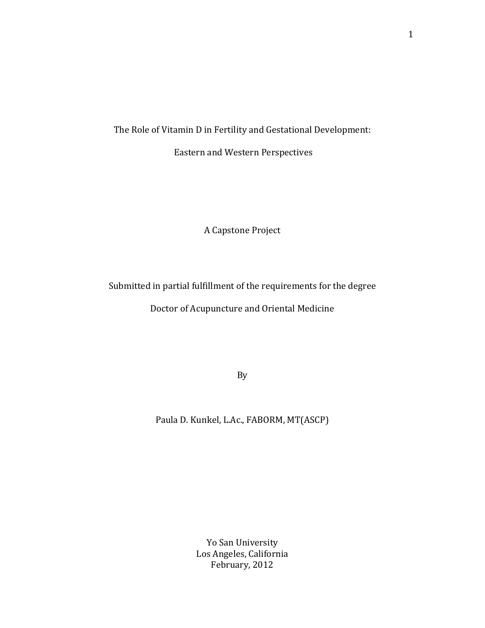The Role of Vitamin D in Fertility and Gestational Development:

Eastern and Western Perspectives

A Capstone Project

Submitted in partial fulfillment of the requirements for the degree

Doctor of Acupuncture and Oriental Medicine

By

Paula D. Kunkel, L.Ac., FABORM, MT(ASCP)

Yo San University Los Angeles, California February, 2012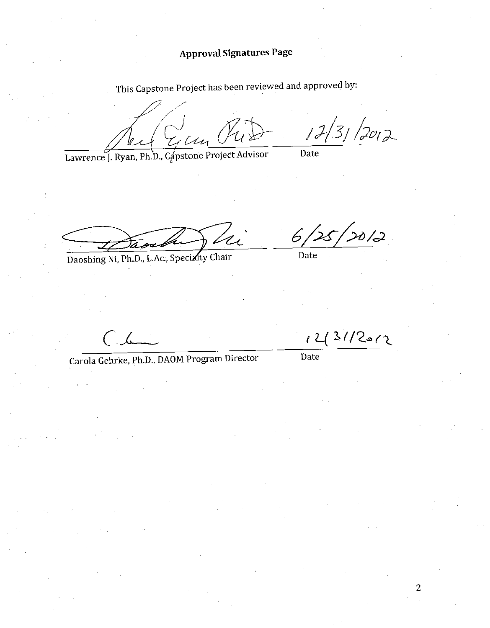**Approval Signatures Page** 

This Capstone Project has been reviewed and approved by:

12/31/2012  $\bigvee^{\bigvee}_M$ 

Lawrence J. Ryan, Ph.D., Capstone Project Advisor

Date

Daoshing Ni, Ph.D., L.Ac., Specialty Chair

 $20/2$  $6/$ 

12/3/12012

Date

 $\sqrt{2}$ 

Carola Gehrke, Ph.D., DAOM Program Director

Date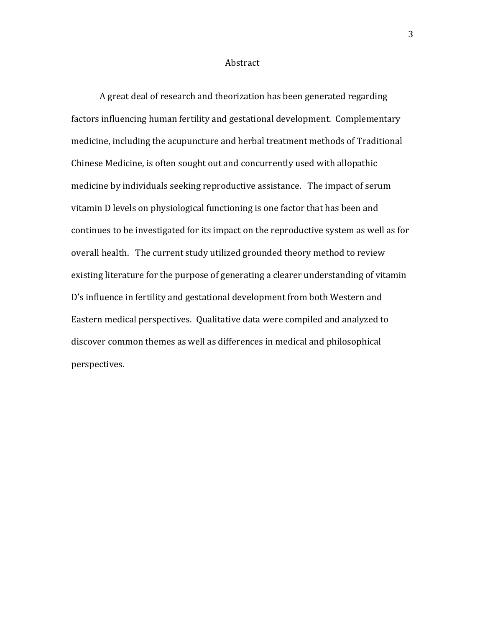## Abstract

A great deal of research and theorization has been generated regarding factors influencing human fertility and gestational development. Complementary medicine, including the acupuncture and herbal treatment methods of Traditional Chinese Medicine, is often sought out and concurrently used with allopathic medicine by individuals seeking reproductive assistance. The impact of serum vitamin D levels on physiological functioning is one factor that has been and continues to be investigated for its impact on the reproductive system as well as for overall health. The current study utilized grounded theory method to review existing literature for the purpose of generating a clearer understanding of vitamin D's influence in fertility and gestational development from both Western and Eastern medical perspectives. Qualitative data were compiled and analyzed to discover common themes as well as differences in medical and philosophical perspectives.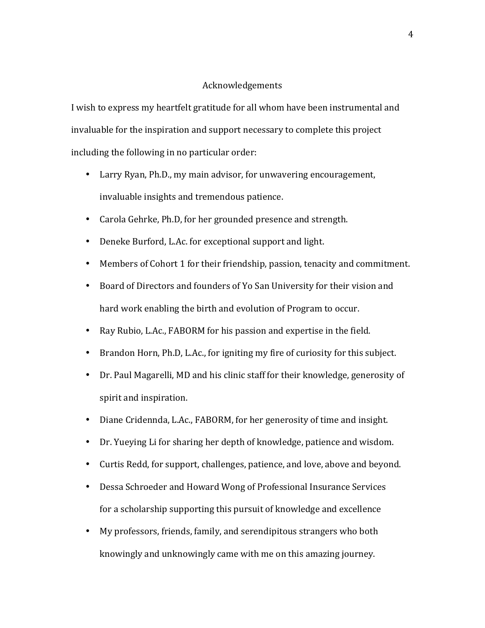# Acknowledgements

I wish to express my heartfelt gratitude for all whom have been instrumental and invaluable for the inspiration and support necessary to complete this project including the following in no particular order:

- Larry Ryan, Ph.D., my main advisor, for unwavering encouragement, invaluable insights and tremendous patience.
- Carola Gehrke, Ph.D, for her grounded presence and strength.
- Deneke Burford, L.Ac. for exceptional support and light.
- Members of Cohort 1 for their friendship, passion, tenacity and commitment.
- Board of Directors and founders of Yo San University for their vision and hard work enabling the birth and evolution of Program to occur.
- Ray Rubio, L.Ac., FABORM for his passion and expertise in the field.
- Brandon Horn, Ph.D, L.Ac., for igniting my fire of curiosity for this subject.
- Dr. Paul Magarelli, MD and his clinic staff for their knowledge, generosity of spirit and inspiration.
- Diane Cridennda, L.Ac., FABORM, for her generosity of time and insight.
- Dr. Yueying Li for sharing her depth of knowledge, patience and wisdom.
- Curtis Redd, for support, challenges, patience, and love, above and beyond.
- Dessa Schroeder and Howard Wong of Professional Insurance Services for a scholarship supporting this pursuit of knowledge and excellence
- My professors, friends, family, and serendipitous strangers who both knowingly and unknowingly came with me on this amazing journey.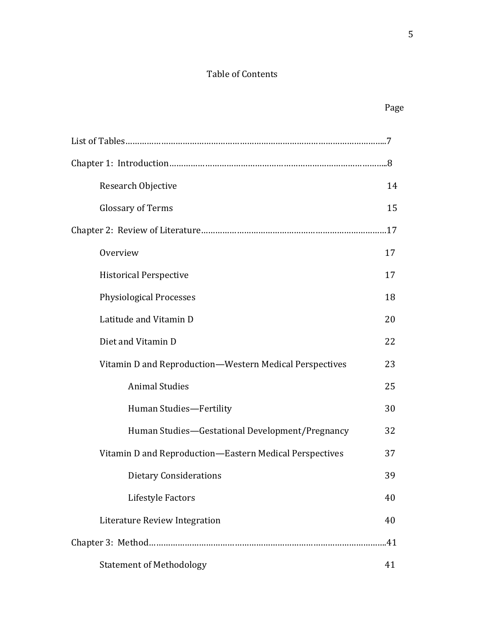# Table of Contents

| Research Objective                                      | 14  |
|---------------------------------------------------------|-----|
| <b>Glossary of Terms</b>                                | 15  |
|                                                         |     |
| Overview                                                | 17  |
| <b>Historical Perspective</b>                           | 17  |
| <b>Physiological Processes</b>                          | 18  |
| Latitude and Vitamin D                                  | 20  |
| Diet and Vitamin D                                      | 22  |
| Vitamin D and Reproduction-Western Medical Perspectives | 23  |
| <b>Animal Studies</b>                                   | 25  |
| Human Studies-Fertility                                 | 30  |
| Human Studies-Gestational Development/Pregnancy         | 32  |
| Vitamin D and Reproduction-Eastern Medical Perspectives | 37  |
| <b>Dietary Considerations</b>                           | 39  |
| Lifestyle Factors                                       | 40  |
| Literature Review Integration                           | 40  |
|                                                         | .41 |
| <b>Statement of Methodology</b>                         | 41  |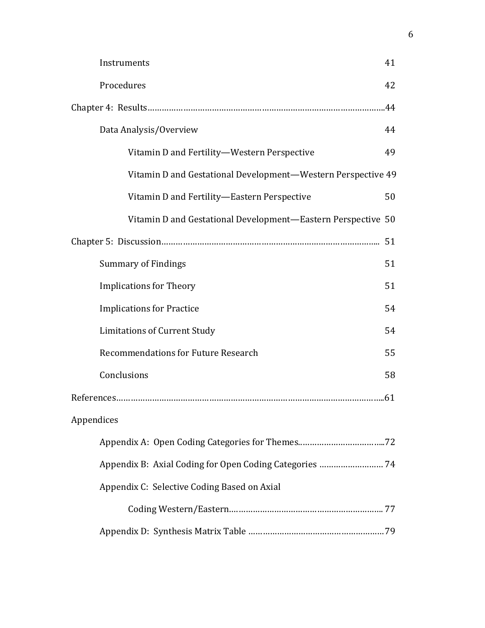| Instruments                                                  | 41  |
|--------------------------------------------------------------|-----|
| Procedures                                                   | 42  |
|                                                              | .44 |
| Data Analysis/Overview                                       | 44  |
| Vitamin D and Fertility-Western Perspective                  | 49  |
| Vitamin D and Gestational Development-Western Perspective 49 |     |
| Vitamin D and Fertility-Eastern Perspective                  | 50  |
| Vitamin D and Gestational Development—Eastern Perspective 50 |     |
|                                                              | 51  |
| <b>Summary of Findings</b>                                   | 51  |
| <b>Implications for Theory</b>                               | 51  |
| <b>Implications for Practice</b>                             | 54  |
| <b>Limitations of Current Study</b>                          | 54  |
| <b>Recommendations for Future Research</b>                   | 55  |
| Conclusions                                                  | 58  |
|                                                              |     |
| Appendices                                                   |     |
|                                                              |     |
| Appendix B: Axial Coding for Open Coding Categories  74      |     |
| Appendix C: Selective Coding Based on Axial                  |     |
|                                                              |     |
|                                                              |     |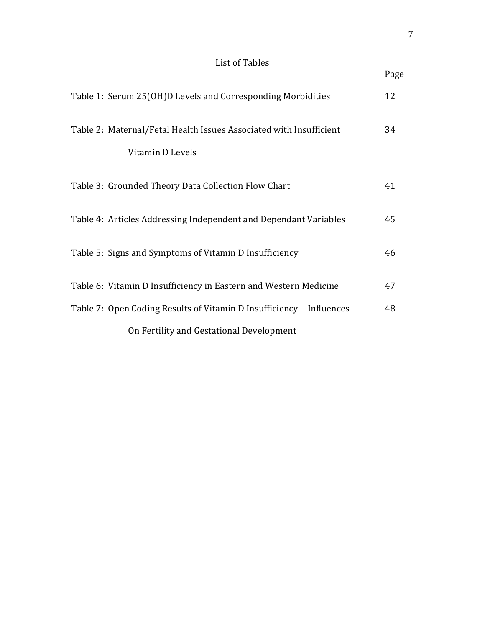# List of Tables

|                                                                    | Page |
|--------------------------------------------------------------------|------|
| Table 1: Serum 25(OH)D Levels and Corresponding Morbidities        | 12   |
| Table 2: Maternal/Fetal Health Issues Associated with Insufficient | 34   |
| Vitamin D Levels                                                   |      |
| Table 3: Grounded Theory Data Collection Flow Chart                | 41   |
| Table 4: Articles Addressing Independent and Dependant Variables   | 45   |
| Table 5: Signs and Symptoms of Vitamin D Insufficiency             | 46   |
| Table 6: Vitamin D Insufficiency in Eastern and Western Medicine   | 47   |
| Table 7: Open Coding Results of Vitamin D Insufficiency—Influences | 48   |
| On Fertility and Gestational Development                           |      |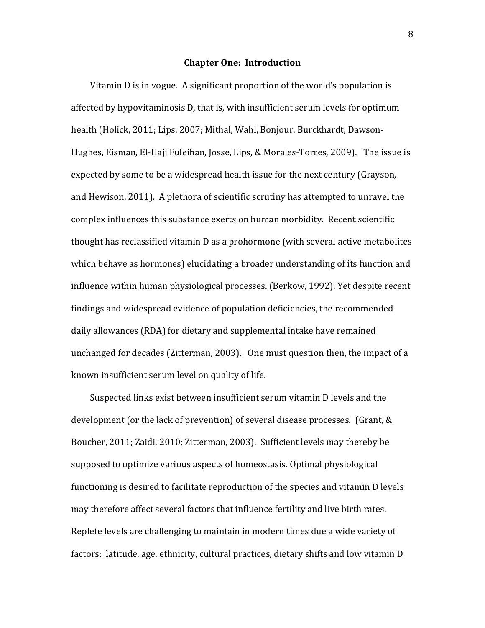## **Chapter One: Introduction**

Vitamin D is in vogue. A significant proportion of the world's population is affected by hypovitaminosis D, that is, with insufficient serum levels for optimum health (Holick, 2011; Lips, 2007; Mithal, Wahl, Bonjour, Burckhardt, Dawson-Hughes, Eisman, El-Hajj Fuleihan, Josse, Lips, & Morales-Torres, 2009). The issue is expected by some to be a widespread health issue for the next century (Grayson, and Hewison, 2011). A plethora of scientific scrutiny has attempted to unravel the complex influences this substance exerts on human morbidity. Recent scientific thought has reclassified vitamin D as a prohormone (with several active metabolites which behave as hormones) elucidating a broader understanding of its function and influence within human physiological processes. (Berkow, 1992). Yet despite recent findings and widespread evidence of population deficiencies, the recommended daily allowances (RDA) for dietary and supplemental intake have remained unchanged for decades (Zitterman, 2003). One must question then, the impact of a known insufficient serum level on quality of life.

Suspected links exist between insufficient serum vitamin D levels and the development (or the lack of prevention) of several disease processes. (Grant, & Boucher, 2011; Zaidi, 2010; Zitterman, 2003). Sufficient levels may thereby be supposed to optimize various aspects of homeostasis. Optimal physiological functioning is desired to facilitate reproduction of the species and vitamin D levels may therefore affect several factors that influence fertility and live birth rates. Replete levels are challenging to maintain in modern times due a wide variety of factors: latitude, age, ethnicity, cultural practices, dietary shifts and low vitamin D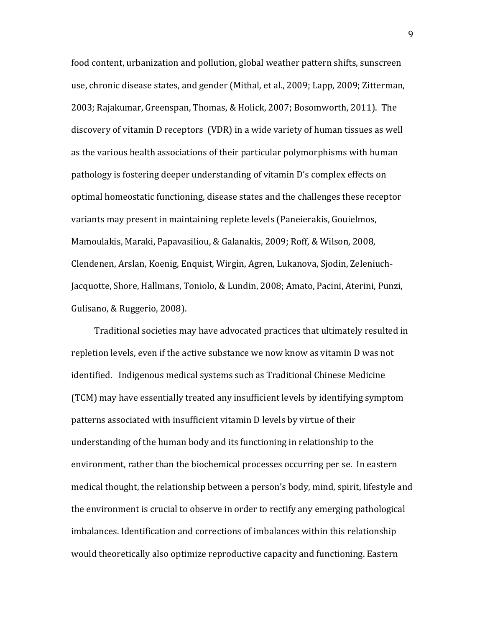food content, urbanization and pollution, global weather pattern shifts, sunscreen use, chronic disease states, and gender (Mithal, et al., 2009; Lapp, 2009; Zitterman, 2003; Rajakumar, Greenspan, Thomas, & Holick, 2007; Bosomworth, 2011). The discovery of vitamin D receptors (VDR) in a wide variety of human tissues as well as the various health associations of their particular polymorphisms with human pathology is fostering deeper understanding of vitamin D's complex effects on optimal homeostatic functioning, disease states and the challenges these receptor variants may present in maintaining replete levels (Paneierakis, Gouielmos, Mamoulakis, Maraki, Papavasiliou, & Galanakis, 2009; Roff, & Wilson, 2008, Clendenen, Arslan, Koenig, Enquist, Wirgin, Agren, Lukanova, Sjodin, Zeleniuch-Jacquotte, Shore, Hallmans, Toniolo, & Lundin, 2008; Amato, Pacini, Aterini, Punzi, Gulisano, & Ruggerio, 2008).

Traditional societies may have advocated practices that ultimately resulted in repletion levels, even if the active substance we now know as vitamin D was not identified. Indigenous medical systems such as Traditional Chinese Medicine (TCM) may have essentially treated any insufficient levels by identifying symptom patterns associated with insufficient vitamin D levels by virtue of their understanding of the human body and its functioning in relationship to the environment, rather than the biochemical processes occurring per se. In eastern medical thought, the relationship between a person's body, mind, spirit, lifestyle and the environment is crucial to observe in order to rectify any emerging pathological imbalances. Identification and corrections of imbalances within this relationship would theoretically also optimize reproductive capacity and functioning. Eastern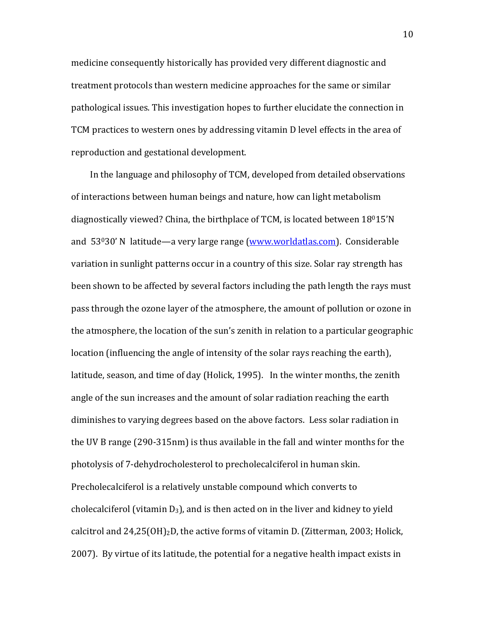medicine consequently historically has provided very different diagnostic and treatment protocols than western medicine approaches for the same or similar pathological issues. This investigation hopes to further elucidate the connection in TCM practices to western ones by addressing vitamin D level effects in the area of reproduction and gestational development.

In the language and philosophy of TCM, developed from detailed observations of interactions between human beings and nature, how can light metabolism diagnostically viewed? China, the birthplace of TCM, is located between  $18^015'N$ and 53030' N latitude—a very large range (www.worldatlas.com). Considerable variation in sunlight patterns occur in a country of this size. Solar ray strength has been shown to be affected by several factors including the path length the rays must pass through the ozone layer of the atmosphere, the amount of pollution or ozone in the atmosphere, the location of the sun's zenith in relation to a particular geographic location (influencing the angle of intensity of the solar rays reaching the earth), latitude, season, and time of day (Holick, 1995). In the winter months, the zenith angle of the sun increases and the amount of solar radiation reaching the earth diminishes to varying degrees based on the above factors. Less solar radiation in the UV B range (290-315nm) is thus available in the fall and winter months for the photolysis of 7-dehydrocholesterol to precholecalciferol in human skin. Precholecalciferol is a relatively unstable compound which converts to cholecalciferol (vitamin  $D_3$ ), and is then acted on in the liver and kidney to yield calcitrol and  $24,25(OH)<sub>2</sub>D$ , the active forms of vitamin D. (Zitterman, 2003; Holick, 2007). By virtue of its latitude, the potential for a negative health impact exists in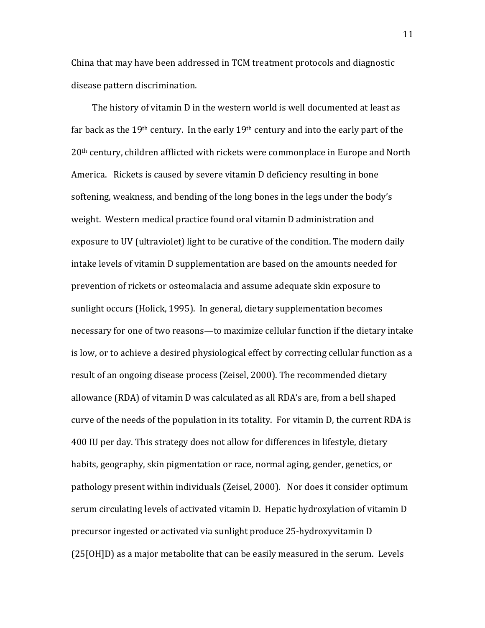China that may have been addressed in TCM treatment protocols and diagnostic disease pattern discrimination.

The history of vitamin D in the western world is well documented at least as far back as the  $19<sup>th</sup>$  century. In the early  $19<sup>th</sup>$  century and into the early part of the 20<sup>th</sup> century, children afflicted with rickets were commonplace in Europe and North America. Rickets is caused by severe vitamin D deficiency resulting in bone softening, weakness, and bending of the long bones in the legs under the body's weight. Western medical practice found oral vitamin D administration and exposure to UV (ultraviolet) light to be curative of the condition. The modern daily intake levels of vitamin D supplementation are based on the amounts needed for prevention of rickets or osteomalacia and assume adequate skin exposure to sunlight occurs (Holick, 1995). In general, dietary supplementation becomes necessary for one of two reasons—to maximize cellular function if the dietary intake is low, or to achieve a desired physiological effect by correcting cellular function as a result of an ongoing disease process (Zeisel, 2000). The recommended dietary allowance (RDA) of vitamin D was calculated as all RDA's are, from a bell shaped curve of the needs of the population in its totality. For vitamin D, the current RDA is 400 IU per day. This strategy does not allow for differences in lifestyle, dietary habits, geography, skin pigmentation or race, normal aging, gender, genetics, or pathology present within individuals (Zeisel, 2000). Nor does it consider optimum serum circulating levels of activated vitamin D. Hepatic hydroxylation of vitamin D precursor ingested or activated via sunlight produce 25-hydroxyvitamin D  $(25[OH]D)$  as a major metabolite that can be easily measured in the serum. Levels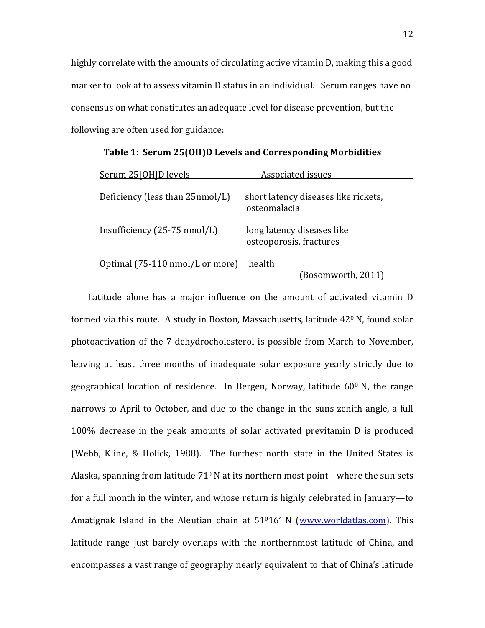highly correlate with the amounts of circulating active vitamin D, making this a good marker to look at to assess vitamin D status in an individual. Serum ranges have no consensus on what constitutes an adequate level for disease prevention, but the following are often used for guidance:

| Serum 25[OH]D levels                   | Associated issues                                     |  |
|----------------------------------------|-------------------------------------------------------|--|
| Deficiency (less than 25nmol/L)        | short latency diseases like rickets,<br>osteomalacia  |  |
| Insufficiency $(25-75 \text{ nmol/L})$ | long latency diseases like<br>osteoporosis, fractures |  |
| Optimal (75-110 nmol/L or more)        | health<br>(Bosomworth, 2011)                          |  |

Table 1: Serum 25(OH)D Levels and Corresponding Morbidities

Latitude alone has a major influence on the amount of activated vitamin D formed via this route. A study in Boston, Massachusetts, latitude  $42^{\circ}$  N, found solar photoactivation of the 7-dehydrocholesterol is possible from March to November, leaving at least three months of inadequate solar exposure yearly strictly due to geographical location of residence. In Bergen, Norway, latitude  $60^{\circ}$  N, the range narrows to April to October, and due to the change in the suns zenith angle, a full 100% decrease in the peak amounts of solar activated previtamin D is produced (Webb, Kline, & Holick, 1988). The furthest north state in the United States is Alaska, spanning from latitude  $71^{\circ}$  N at its northern most point-- where the sun sets for a full month in the winter, and whose return is highly celebrated in January—to Amatignak Island in the Aleutian chain at  $51<sup>0</sup>16'$  N (www.worldatlas.com). This latitude range just barely overlaps with the northernmost latitude of China, and encompasses a vast range of geography nearly equivalent to that of China's latitude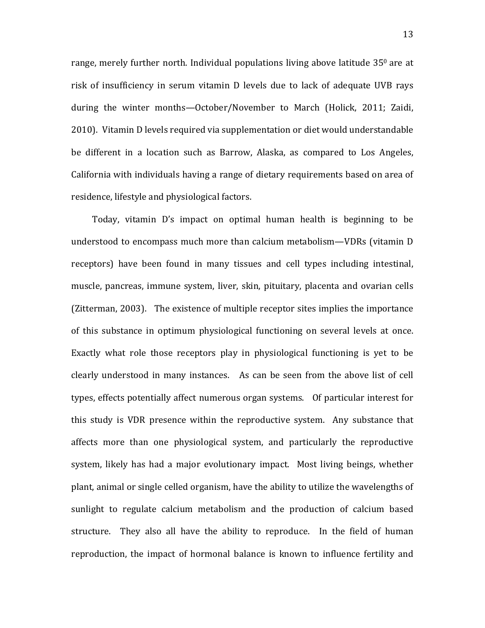range, merely further north. Individual populations living above latitude  $35^{\circ}$  are at risk of insufficiency in serum vitamin D levels due to lack of adequate UVB rays during the winter months—October/November to March (Holick, 2011; Zaidi, 2010). Vitamin D levels required via supplementation or diet would understandable be different in a location such as Barrow, Alaska, as compared to Los Angeles, California with individuals having a range of dietary requirements based on area of residence, lifestyle and physiological factors.

Today, vitamin D's impact on optimal human health is beginning to be understood to encompass much more than calcium metabolism—VDRs (vitamin D receptors) have been found in many tissues and cell types including intestinal, muscle, pancreas, immune system, liver, skin, pituitary, placenta and ovarian cells (Zitterman, 2003). The existence of multiple receptor sites implies the importance of this substance in optimum physiological functioning on several levels at once. Exactly what role those receptors play in physiological functioning is yet to be clearly understood in many instances. As can be seen from the above list of cell types, effects potentially affect numerous organ systems. Of particular interest for this study is VDR presence within the reproductive system. Any substance that affects more than one physiological system, and particularly the reproductive system, likely has had a major evolutionary impact. Most living beings, whether plant, animal or single celled organism, have the ability to utilize the wavelengths of sunlight to regulate calcium metabolism and the production of calcium based structure. They also all have the ability to reproduce. In the field of human reproduction, the impact of hormonal balance is known to influence fertility and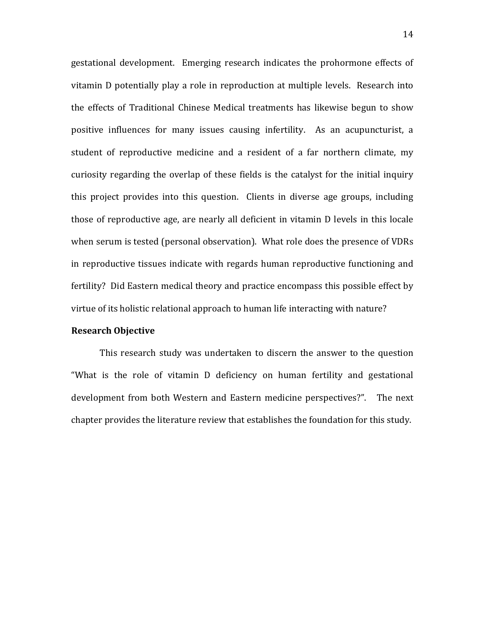gestational development. Emerging research indicates the prohormone effects of vitamin D potentially play a role in reproduction at multiple levels. Research into the effects of Traditional Chinese Medical treatments has likewise begun to show positive influences for many issues causing infertility. As an acupuncturist, a student of reproductive medicine and a resident of a far northern climate, my curiosity regarding the overlap of these fields is the catalyst for the initial inquiry this project provides into this question. Clients in diverse age groups, including those of reproductive age, are nearly all deficient in vitamin D levels in this locale when serum is tested (personal observation). What role does the presence of VDRs in reproductive tissues indicate with regards human reproductive functioning and fertility? Did Eastern medical theory and practice encompass this possible effect by virtue of its holistic relational approach to human life interacting with nature?

## **Research Objective**

This research study was undertaken to discern the answer to the question "What is the role of vitamin D deficiency on human fertility and gestational development from both Western and Eastern medicine perspectives?". The next chapter provides the literature review that establishes the foundation for this study.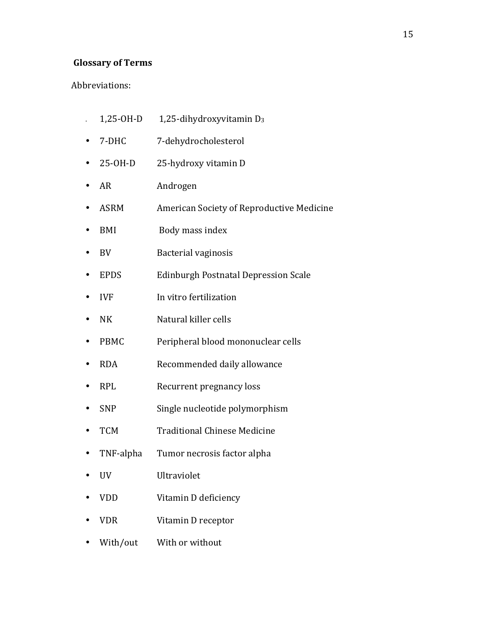# **Glossary of Terms**

# Abbreviations:

- $1,25$ -OH-D  $1,25$ -dihydroxyvitamin D<sub>3</sub>
- 7-DHC 7-dehydrocholesterol
- 25-OH-D 25-hydroxy vitamin D
- AR Androgen
- ASRM American Society of Reproductive Medicine
- BMI Body mass index
- BV Bacterial vaginosis
- EPDS Edinburgh Postnatal Depression Scale
- IVF In vitro fertilization
- NK Natural killer cells
- PBMC Peripheral blood mononuclear cells
- RDA Recommended daily allowance
- RPL Recurrent pregnancy loss
- SNP Single nucleotide polymorphism
- TCM Traditional Chinese Medicine
- TNF-alpha Tumor necrosis factor alpha
- UV Ultraviolet
- VDD Vitamin D deficiency
- VDR Vitamin D receptor
- With/out With or without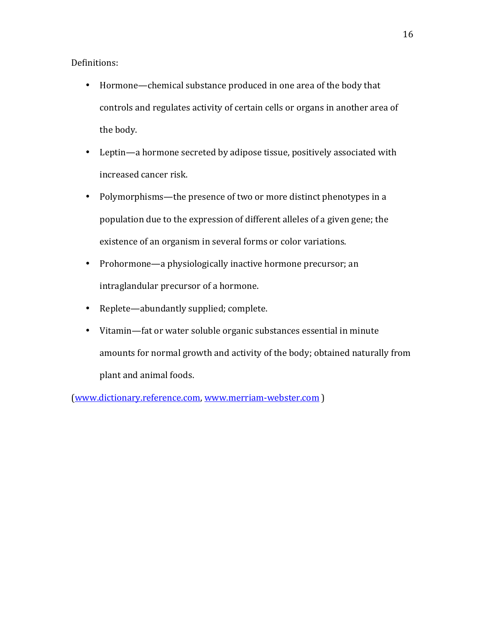Definitions:

- Hormone—chemical substance produced in one area of the body that controls and regulates activity of certain cells or organs in another area of the body.
- Leptin—a hormone secreted by adipose tissue, positively associated with increased cancer risk.
- Polymorphisms—the presence of two or more distinct phenotypes in a population due to the expression of different alleles of a given gene; the existence of an organism in several forms or color variations.
- Prohormone—a physiologically inactive hormone precursor; an intraglandular precursor of a hormone.
- Replete—abundantly supplied; complete.
- Vitamin-fat or water soluble organic substances essential in minute amounts for normal growth and activity of the body; obtained naturally from plant and animal foods.

(www.dictionary.reference.com, www.merriam-webster.com)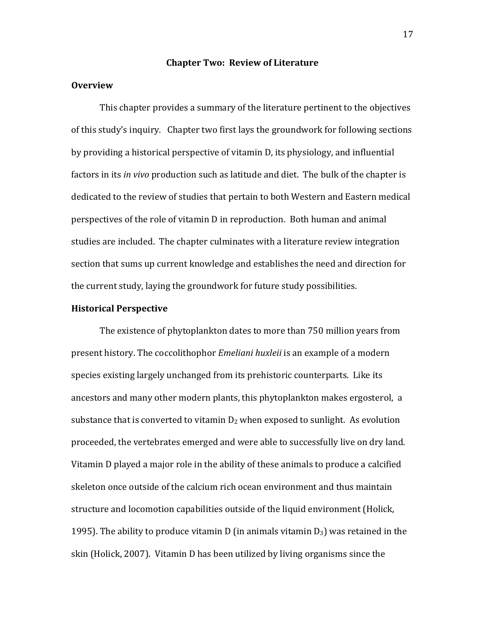## **Chapter Two: Review of Literature**

# **Overview**

This chapter provides a summary of the literature pertinent to the objectives of this study's inquiry. Chapter two first lays the groundwork for following sections by providing a historical perspective of vitamin D, its physiology, and influential factors in its *in vivo* production such as latitude and diet. The bulk of the chapter is dedicated to the review of studies that pertain to both Western and Eastern medical perspectives of the role of vitamin D in reproduction. Both human and animal studies are included. The chapter culminates with a literature review integration section that sums up current knowledge and establishes the need and direction for the current study, laying the groundwork for future study possibilities.

## **Historical Perspective**

The existence of phytoplankton dates to more than 750 million years from present history. The coccolithophor *Emeliani huxleii* is an example of a modern species existing largely unchanged from its prehistoric counterparts. Like its ancestors and many other modern plants, this phytoplankton makes ergosterol, a substance that is converted to vitamin  $D_2$  when exposed to sunlight. As evolution proceeded, the vertebrates emerged and were able to successfully live on dry land. Vitamin D played a major role in the ability of these animals to produce a calcified skeleton once outside of the calcium rich ocean environment and thus maintain structure and locomotion capabilities outside of the liquid environment (Holick, 1995). The ability to produce vitamin D (in animals vitamin  $D_3$ ) was retained in the skin (Holick, 2007). Vitamin D has been utilized by living organisms since the

17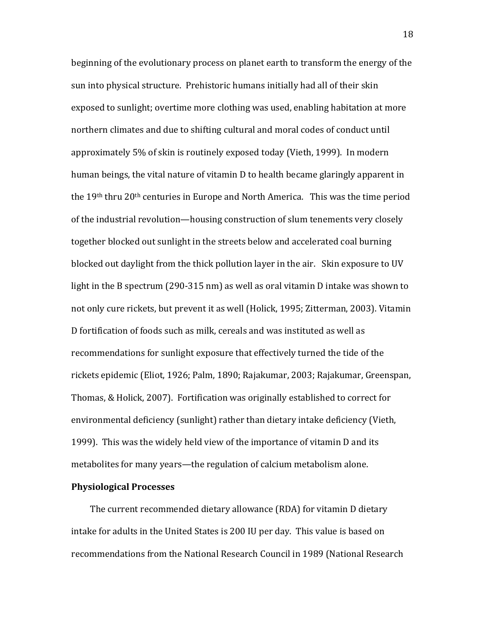beginning of the evolutionary process on planet earth to transform the energy of the sun into physical structure. Prehistoric humans initially had all of their skin exposed to sunlight; overtime more clothing was used, enabling habitation at more northern climates and due to shifting cultural and moral codes of conduct until approximately 5% of skin is routinely exposed today (Vieth, 1999). In modern human beings, the vital nature of vitamin D to health became glaringly apparent in the 19<sup>th</sup> thru 20<sup>th</sup> centuries in Europe and North America. This was the time period of the industrial revolution—housing construction of slum tenements very closely together blocked out sunlight in the streets below and accelerated coal burning blocked out daylight from the thick pollution layer in the air. Skin exposure to UV light in the B spectrum (290-315 nm) as well as oral vitamin D intake was shown to not only cure rickets, but prevent it as well (Holick, 1995; Zitterman, 2003). Vitamin D fortification of foods such as milk, cereals and was instituted as well as recommendations for sunlight exposure that effectively turned the tide of the rickets epidemic (Eliot, 1926; Palm, 1890; Rajakumar, 2003; Rajakumar, Greenspan, Thomas. & Holick, 2007). Fortification was originally established to correct for environmental deficiency (sunlight) rather than dietary intake deficiency (Vieth, 1999). This was the widely held view of the importance of vitamin D and its metabolites for many years—the regulation of calcium metabolism alone.

# **Physiological Processes**

The current recommended dietary allowance (RDA) for vitamin D dietary intake for adults in the United States is 200 IU per day. This value is based on recommendations from the National Research Council in 1989 (National Research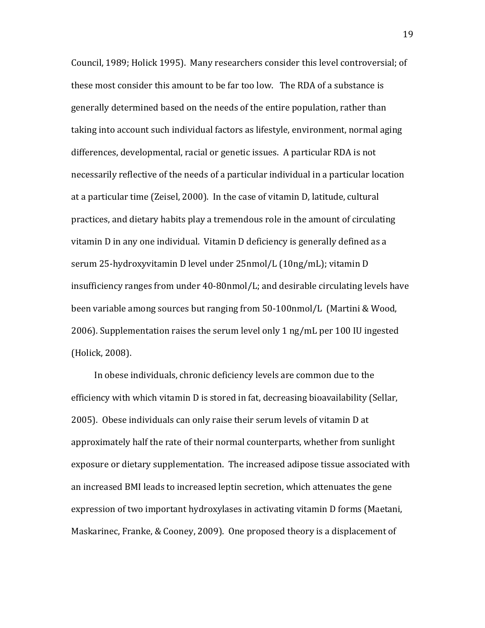Council, 1989; Holick 1995). Many researchers consider this level controversial; of these most consider this amount to be far too low. The RDA of a substance is generally determined based on the needs of the entire population, rather than taking into account such individual factors as lifestyle, environment, normal aging differences, developmental, racial or genetic issues. A particular RDA is not necessarily reflective of the needs of a particular individual in a particular location at a particular time (Zeisel, 2000). In the case of vitamin D, latitude, cultural practices, and dietary habits play a tremendous role in the amount of circulating vitamin D in any one individual. Vitamin D deficiency is generally defined as a serum 25-hydroxyvitamin D level under 25nmol/L (10ng/mL); vitamin D insufficiency ranges from under  $40-80$ nmol/L; and desirable circulating levels have been variable among sources but ranging from 50-100nmol/L (Martini & Wood, 2006). Supplementation raises the serum level only 1 ng/mL per 100 IU ingested (Holick, 2008).

In obese individuals, chronic deficiency levels are common due to the efficiency with which vitamin D is stored in fat, decreasing bioavailability (Sellar, 2005). Obese individuals can only raise their serum levels of vitamin D at approximately half the rate of their normal counterparts, whether from sunlight exposure or dietary supplementation. The increased adipose tissue associated with an increased BMI leads to increased leptin secretion, which attenuates the gene expression of two important hydroxylases in activating vitamin D forms (Maetani, Maskarinec, Franke, & Cooney, 2009). One proposed theory is a displacement of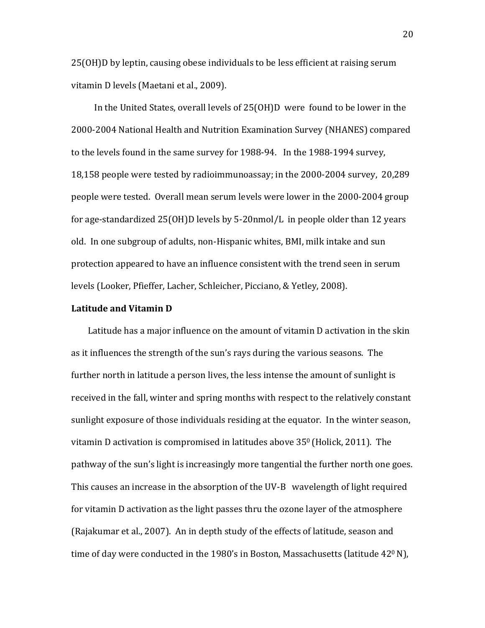25(OH)D by leptin, causing obese individuals to be less efficient at raising serum vitamin D levels (Maetani et al., 2009).

In the United States, overall levels of 25(OH)D were found to be lower in the 2000-2004 National Health and Nutrition Examination Survey (NHANES) compared to the levels found in the same survey for 1988-94. In the 1988-1994 survey, 18,158 people were tested by radioimmunoassay; in the 2000-2004 survey, 20,289 people were tested. Overall mean serum levels were lower in the 2000-2004 group for age-standardized  $25(OH)D$  levels by  $5-20nmol/L$  in people older than 12 years old. In one subgroup of adults, non-Hispanic whites, BMI, milk intake and sun protection appeared to have an influence consistent with the trend seen in serum levels (Looker, Pfieffer, Lacher, Schleicher, Picciano, & Yetley, 2008).

#### **Latitude and Vitamin D**

Latitude has a major influence on the amount of vitamin D activation in the skin as it influences the strength of the sun's rays during the various seasons. The further north in latitude a person lives, the less intense the amount of sunlight is received in the fall, winter and spring months with respect to the relatively constant sunlight exposure of those individuals residing at the equator. In the winter season, vitamin D activation is compromised in latitudes above  $35^{\circ}$  (Holick, 2011). The pathway of the sun's light is increasingly more tangential the further north one goes. This causes an increase in the absorption of the UV-B wavelength of light required for vitamin D activation as the light passes thru the ozone layer of the atmosphere (Rajakumar et al., 2007). An in depth study of the effects of latitude, season and time of day were conducted in the 1980's in Boston, Massachusetts (latitude 42<sup>0</sup> N),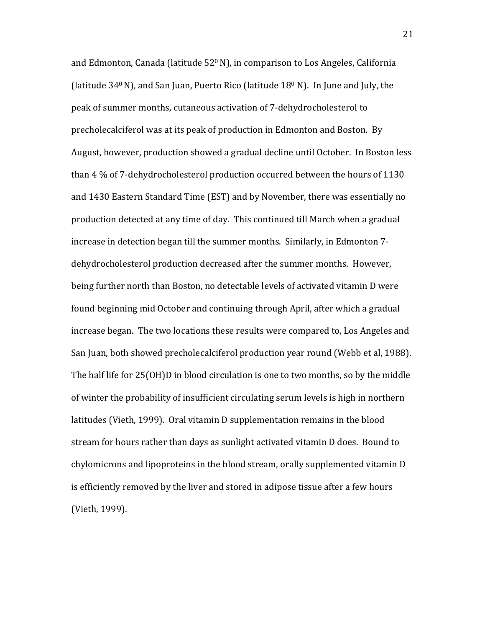and Edmonton, Canada (latitude  $52^{\circ}$  N), in comparison to Los Angeles, California (latitude  $340$  N), and San Juan, Puerto Rico (latitude  $180$  N). In June and July, the peak of summer months, cutaneous activation of 7-dehydrocholesterol to precholecalciferol was at its peak of production in Edmonton and Boston. By August, however, production showed a gradual decline until October. In Boston less than 4 % of 7-dehydrocholesterol production occurred between the hours of 1130 and 1430 Eastern Standard Time (EST) and by November, there was essentially no production detected at any time of day. This continued till March when a gradual increase in detection began till the summer months. Similarly, in Edmonton 7dehydrocholesterol production decreased after the summer months. However, being further north than Boston, no detectable levels of activated vitamin D were found beginning mid October and continuing through April, after which a gradual increase began. The two locations these results were compared to, Los Angeles and San Juan, both showed precholecalciferol production year round (Webb et al, 1988). The half life for 25(OH)D in blood circulation is one to two months, so by the middle of winter the probability of insufficient circulating serum levels is high in northern latitudes (Vieth, 1999). Oral vitamin D supplementation remains in the blood stream for hours rather than days as sunlight activated vitamin D does. Bound to chylomicrons and lipoproteins in the blood stream, orally supplemented vitamin D is efficiently removed by the liver and stored in adipose tissue after a few hours (Vieth, 1999).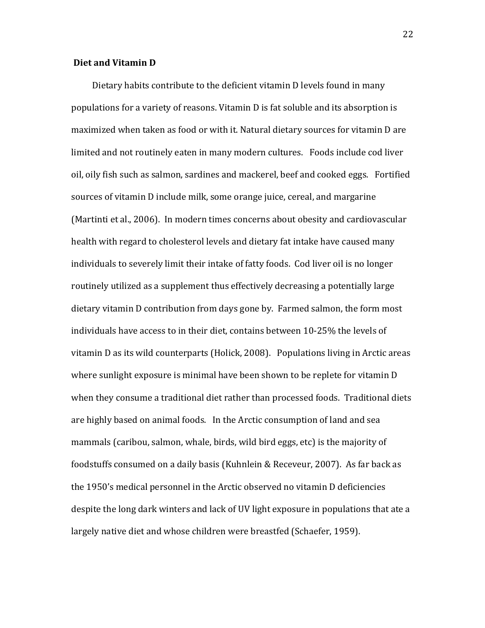# **Diet and Vitamin D**

Dietary habits contribute to the deficient vitamin D levels found in many populations for a variety of reasons. Vitamin D is fat soluble and its absorption is maximized when taken as food or with it. Natural dietary sources for vitamin D are limited and not routinely eaten in many modern cultures. Foods include cod liver oil, oily fish such as salmon, sardines and mackerel, beef and cooked eggs. Fortified sources of vitamin D include milk, some orange juice, cereal, and margarine (Martinti et al., 2006). In modern times concerns about obesity and cardiovascular health with regard to cholesterol levels and dietary fat intake have caused many individuals to severely limit their intake of fatty foods. Cod liver oil is no longer routinely utilized as a supplement thus effectively decreasing a potentially large dietary vitamin D contribution from days gone by. Farmed salmon, the form most individuals have access to in their diet, contains between 10-25% the levels of vitamin D as its wild counterparts (Holick, 2008). Populations living in Arctic areas where sunlight exposure is minimal have been shown to be replete for vitamin D when they consume a traditional diet rather than processed foods. Traditional diets are highly based on animal foods. In the Arctic consumption of land and sea mammals (caribou, salmon, whale, birds, wild bird eggs, etc) is the majority of foodstuffs consumed on a daily basis (Kuhnlein & Receveur, 2007). As far back as the 1950's medical personnel in the Arctic observed no vitamin D deficiencies despite the long dark winters and lack of UV light exposure in populations that ate a largely native diet and whose children were breastfed (Schaefer, 1959).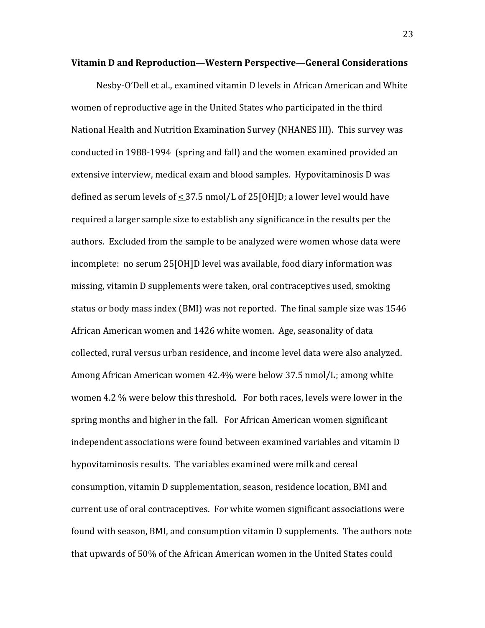#### **Vitamin(D(and(Reproduction—Western(Perspective—General(Considerations**

Nesby-O'Dell et al., examined vitamin D levels in African American and White women of reproductive age in the United States who participated in the third National Health and Nutrition Examination Survey (NHANES III). This survey was conducted in 1988-1994 (spring and fall) and the women examined provided an extensive interview, medical exam and blood samples. Hypovitaminosis D was defined as serum levels of  $\lt 37.5$  nmol/L of 25[OH]D; a lower level would have required a larger sample size to establish any significance in the results per the authors. Excluded from the sample to be analyzed were women whose data were incomplete: no serum 25[OH]D level was available, food diary information was missing, vitamin D supplements were taken, oral contraceptives used, smoking status or body mass index (BMI) was not reported. The final sample size was 1546 African American women and 1426 white women. Age, seasonality of data collected, rural versus urban residence, and income level data were also analyzed. Among African American women 42.4% were below 37.5 nmol/L; among white women 4.2 % were below this threshold. For both races, levels were lower in the spring months and higher in the fall. For African American women significant independent associations were found between examined variables and vitamin D hypovitaminosis results. The variables examined were milk and cereal consumption, vitamin D supplementation, season, residence location, BMI and current use of oral contraceptives. For white women significant associations were found with season, BMI, and consumption vitamin D supplements. The authors note that upwards of 50% of the African American women in the United States could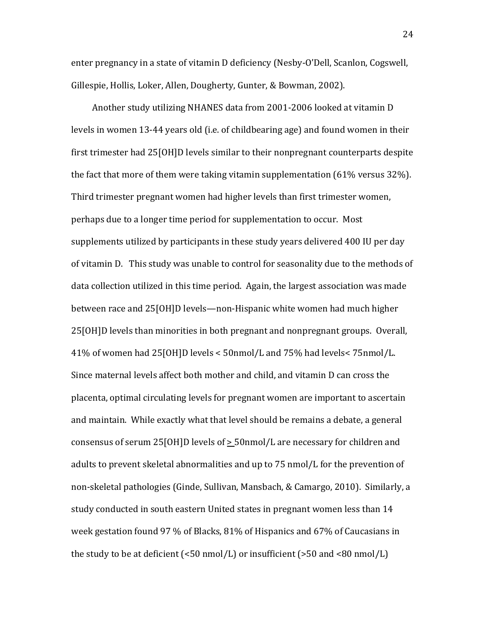enter pregnancy in a state of vitamin D deficiency (Nesby-O'Dell, Scanlon, Cogswell, Gillespie, Hollis, Loker, Allen, Dougherty, Gunter, & Bowman, 2002).

Another study utilizing NHANES data from 2001-2006 looked at vitamin D levels in women 13-44 years old (i.e. of childbearing age) and found women in their first trimester had  $25[OH]D$  levels similar to their nonpregnant counterparts despite the fact that more of them were taking vitamin supplementation (61% versus 32%). Third trimester pregnant women had higher levels than first trimester women, perhaps due to a longer time period for supplementation to occur. Most supplements utilized by participants in these study years delivered 400 IU per day of vitamin D. This study was unable to control for seasonality due to the methods of data collection utilized in this time period. Again, the largest association was made between race and 25[OH]D levels—non-Hispanic white women had much higher 25[OH]D levels than minorities in both pregnant and nonpregnant groups. Overall, 41% of women had 25[OH]D levels < 50nmol/L and 75% had levels< 75nmol/L. Since maternal levels affect both mother and child, and vitamin D can cross the placenta, optimal circulating levels for pregnant women are important to ascertain and maintain. While exactly what that level should be remains a debate, a general consensus of serum 25[OH]D levels of  $> 50$ nmol/L are necessary for children and adults to prevent skeletal abnormalities and up to 75 nmol/L for the prevention of non-skeletal pathologies (Ginde, Sullivan, Mansbach, & Camargo, 2010). Similarly, a study conducted in south eastern United states in pregnant women less than 14 week gestation found 97 % of Blacks, 81% of Hispanics and 67% of Caucasians in the study to be at deficient (<50  $\text{nmol/L}$ ) or insufficient (>50 and <80  $\text{nmol/L}$ )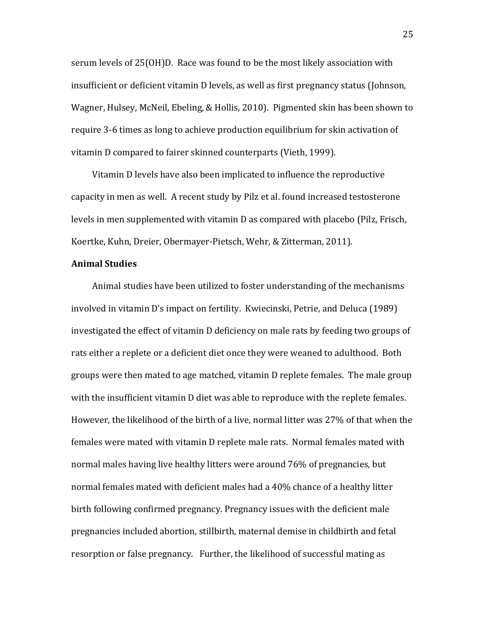serum levels of 25(OH)D. Race was found to be the most likely association with insufficient or deficient vitamin D levels, as well as first pregnancy status (Johnson, Wagner, Hulsey, McNeil, Ebeling, & Hollis, 2010). Pigmented skin has been shown to require 3-6 times as long to achieve production equilibrium for skin activation of vitamin D compared to fairer skinned counterparts (Vieth, 1999).

Vitamin D levels have also been implicated to influence the reproductive capacity in men as well. A recent study by Pilz et al. found increased testosterone levels in men supplemented with vitamin D as compared with placebo (Pilz, Frisch, Koertke, Kuhn, Dreier, Obermayer-Pietsch, Wehr, & Zitterman, 2011).

# **Animal Studies**

Animal studies have been utilized to foster understanding of the mechanisms involved in vitamin D's impact on fertility. Kwiecinski, Petrie, and Deluca (1989) investigated the effect of vitamin D deficiency on male rats by feeding two groups of rats either a replete or a deficient diet once they were weaned to adulthood. Both groups were then mated to age matched, vitamin D replete females. The male group with the insufficient vitamin D diet was able to reproduce with the replete females. However, the likelihood of the birth of a live, normal litter was 27% of that when the females were mated with vitamin D replete male rats. Normal females mated with normal males having live healthy litters were around 76% of pregnancies, but normal females mated with deficient males had a 40% chance of a healthy litter birth following confirmed pregnancy. Pregnancy issues with the deficient male pregnancies included abortion, stillbirth, maternal demise in childbirth and fetal resorption or false pregnancy. Further, the likelihood of successful mating as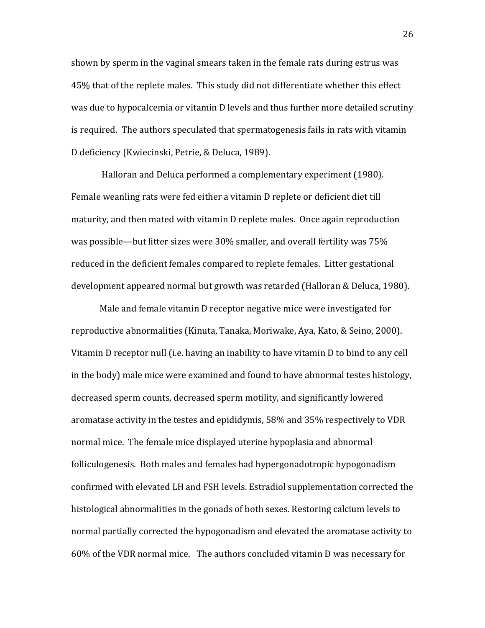shown by sperm in the vaginal smears taken in the female rats during estrus was 45% that of the replete males. This study did not differentiate whether this effect was due to hypocalcemia or vitamin D levels and thus further more detailed scrutiny is required. The authors speculated that spermatogenesis fails in rats with vitamin D deficiency (Kwiecinski, Petrie, & Deluca, 1989).

Halloran and Deluca performed a complementary experiment (1980). Female weanling rats were fed either a vitamin D replete or deficient diet till maturity, and then mated with vitamin D replete males. Once again reproduction was possible—but litter sizes were 30% smaller, and overall fertility was 75% reduced in the deficient females compared to replete females. Litter gestational development appeared normal but growth was retarded (Halloran & Deluca, 1980).

Male and female vitamin D receptor negative mice were investigated for reproductive abnormalities (Kinuta, Tanaka, Moriwake, Aya, Kato, & Seino, 2000). Vitamin D receptor null (i.e. having an inability to have vitamin D to bind to any cell in the body) male mice were examined and found to have abnormal testes histology, decreased sperm counts, decreased sperm motility, and significantly lowered aromatase activity in the testes and epididymis, 58% and 35% respectively to VDR normal mice. The female mice displayed uterine hypoplasia and abnormal folliculogenesis. Both males and females had hypergonadotropic hypogonadism confirmed with elevated LH and FSH levels. Estradiol supplementation corrected the histological abnormalities in the gonads of both sexes. Restoring calcium levels to normal partially corrected the hypogonadism and elevated the aromatase activity to 60% of the VDR normal mice. The authors concluded vitamin D was necessary for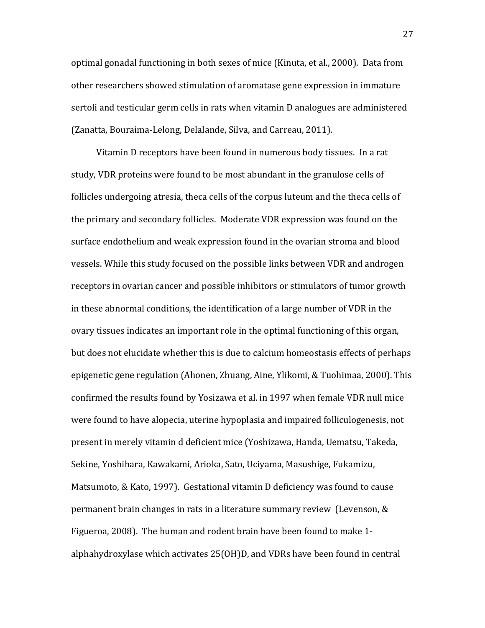optimal gonadal functioning in both sexes of mice (Kinuta, et al., 2000). Data from other researchers showed stimulation of aromatase gene expression in immature sertoli and testicular germ cells in rats when vitamin D analogues are administered (Zanatta, Bouraima-Lelong, Delalande, Silva, and Carreau, 2011).

Vitamin D receptors have been found in numerous body tissues. In a rat study, VDR proteins were found to be most abundant in the granulose cells of follicles undergoing atresia, theca cells of the corpus luteum and the theca cells of the primary and secondary follicles. Moderate VDR expression was found on the surface endothelium and weak expression found in the ovarian stroma and blood vessels. While this study focused on the possible links between VDR and androgen receptors in ovarian cancer and possible inhibitors or stimulators of tumor growth in these abnormal conditions, the identification of a large number of VDR in the ovary tissues indicates an important role in the optimal functioning of this organ, but does not elucidate whether this is due to calcium homeostasis effects of perhaps epigenetic gene regulation (Ahonen, Zhuang, Aine, Ylikomi, & Tuohimaa, 2000). This confirmed the results found by Yosizawa et al. in 1997 when female VDR null mice were found to have alopecia, uterine hypoplasia and impaired folliculogenesis, not present in merely vitamin d deficient mice (Yoshizawa, Handa, Uematsu, Takeda, Sekine, Yoshihara, Kawakami, Arioka, Sato, Uciyama, Masushige, Fukamizu, Matsumoto, & Kato, 1997). Gestational vitamin D deficiency was found to cause permanent brain changes in rats in a literature summary review (Levenson,  $&$ Figueroa, 2008). The human and rodent brain have been found to make 1alphahydroxylase which activates  $25(OH)D$ , and VDRs have been found in central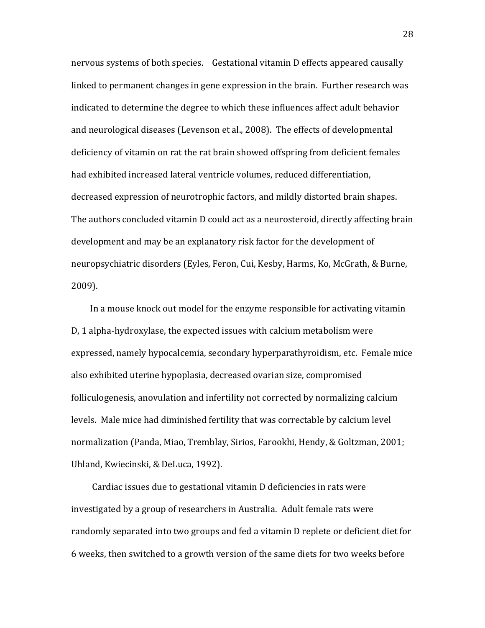nervous systems of both species. Gestational vitamin D effects appeared causally linked to permanent changes in gene expression in the brain. Further research was indicated to determine the degree to which these influences affect adult behavior and neurological diseases (Levenson et al., 2008). The effects of developmental deficiency of vitamin on rat the rat brain showed offspring from deficient females had exhibited increased lateral ventricle volumes, reduced differentiation, decreased expression of neurotrophic factors, and mildly distorted brain shapes. The authors concluded vitamin D could act as a neurosteroid, directly affecting brain development and may be an explanatory risk factor for the development of neuropsychiatric disorders (Eyles, Feron, Cui, Kesby, Harms, Ko, McGrath, & Burne, 2009).

In a mouse knock out model for the enzyme responsible for activating vitamin D, 1 alpha-hydroxylase, the expected issues with calcium metabolism were expressed, namely hypocalcemia, secondary hyperparathyroidism, etc. Female mice also exhibited uterine hypoplasia, decreased ovarian size, compromised folliculogenesis, anovulation and infertility not corrected by normalizing calcium levels. Male mice had diminished fertility that was correctable by calcium level normalization (Panda, Miao, Tremblay, Sirios, Farookhi, Hendy, & Goltzman, 2001; Uhland, Kwiecinski, & DeLuca, 1992).

Cardiac issues due to gestational vitamin D deficiencies in rats were investigated by a group of researchers in Australia. Adult female rats were randomly separated into two groups and fed a vitamin D replete or deficient diet for 6 weeks, then switched to a growth version of the same diets for two weeks before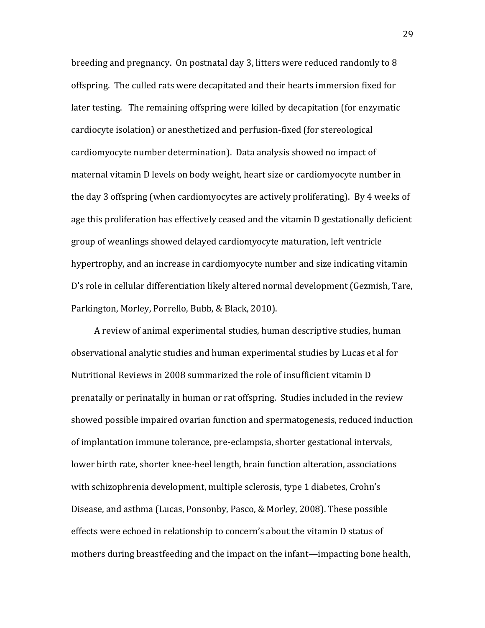breeding and pregnancy. On postnatal day 3, litters were reduced randomly to 8 offspring. The culled rats were decapitated and their hearts immersion fixed for later testing. The remaining offspring were killed by decapitation (for enzymatic cardiocyte isolation) or anesthetized and perfusion-fixed (for stereological cardiomyocyte number determination). Data analysis showed no impact of maternal vitamin D levels on body weight, heart size or cardiomyocyte number in the day 3 offspring (when cardiomyocytes are actively proliferating). By 4 weeks of age this proliferation has effectively ceased and the vitamin D gestationally deficient group of weanlings showed delayed cardiomyocyte maturation, left ventricle hypertrophy, and an increase in cardiomyocyte number and size indicating vitamin D's role in cellular differentiation likely altered normal development (Gezmish, Tare, Parkington, Morley, Porrello, Bubb, & Black, 2010).

A review of animal experimental studies, human descriptive studies, human observational analytic studies and human experimental studies by Lucas et al for Nutritional Reviews in 2008 summarized the role of insufficient vitamin D prenatally or perinatally in human or rat offspring. Studies included in the review showed possible impaired ovarian function and spermatogenesis, reduced induction of implantation immune tolerance, pre-eclampsia, shorter gestational intervals, lower birth rate, shorter knee-heel length, brain function alteration, associations with schizophrenia development, multiple sclerosis, type 1 diabetes, Crohn's Disease, and asthma (Lucas, Ponsonby, Pasco, & Morley, 2008). These possible effects were echoed in relationship to concern's about the vitamin D status of mothers during breastfeeding and the impact on the infant—impacting bone health,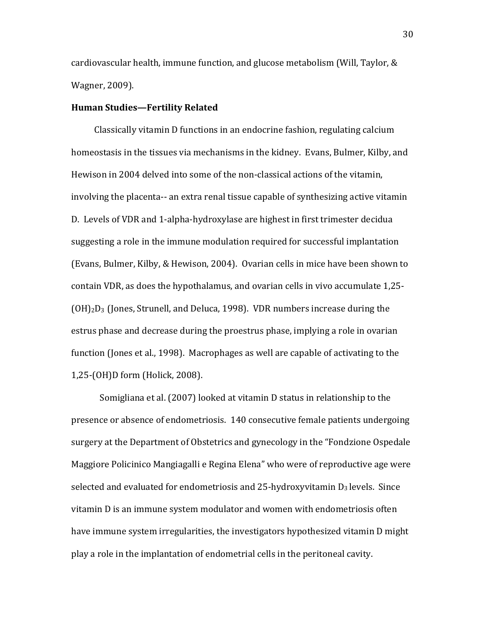cardiovascular health, immune function, and glucose metabolism (Will, Taylor,  $&$ Wagner, 2009).

## **Human Studies—Fertility Related**

**Classically vitamin D functions in an endocrine fashion, regulating calcium** homeostasis in the tissues via mechanisms in the kidney. Evans, Bulmer, Kilby, and Hewison in 2004 delved into some of the non-classical actions of the vitamin, involving the placenta-- an extra renal tissue capable of synthesizing active vitamin D. Levels of VDR and 1-alpha-hydroxylase are highest in first trimester decidua suggesting a role in the immune modulation required for successful implantation (Evans, Bulmer, Kilby, & Hewison, 2004). Ovarian cells in mice have been shown to contain VDR, as does the hypothalamus, and ovarian cells in vivo accumulate 1,25- $(OH)_2D_3$  (Jones, Strunell, and Deluca, 1998). VDR numbers increase during the estrus phase and decrease during the proestrus phase, implying a role in ovarian function (Jones et al., 1998). Macrophages as well are capable of activating to the 1,25-(OH)D form (Holick, 2008).

Somigliana et al. (2007) looked at vitamin D status in relationship to the presence or absence of endometriosis. 140 consecutive female patients undergoing surgery at the Department of Obstetrics and gynecology in the "Fondzione Ospedale" Maggiore Policinico Mangiagalli e Regina Elena" who were of reproductive age were selected and evaluated for endometriosis and  $25$ -hydroxyvitamin  $D_3$  levels. Since vitamin D is an immune system modulator and women with endometriosis often have immune system irregularities, the investigators hypothesized vitamin D might play a role in the implantation of endometrial cells in the peritoneal cavity.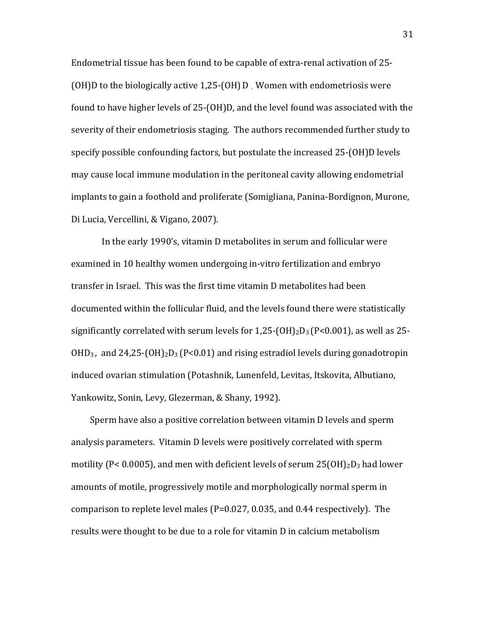Endometrial tissue has been found to be capable of extra-renal activation of 25-(OH)D to the biologically active  $1,25-(OH)D$ . Women with endometriosis were found to have higher levels of  $25-(OH)D$ , and the level found was associated with the severity of their endometriosis staging. The authors recommended further study to specify possible confounding factors, but postulate the increased 25-(OH)D levels may cause local immune modulation in the peritoneal cavity allowing endometrial implants to gain a foothold and proliferate (Somigliana, Panina-Bordignon, Murone, Di Lucia, Vercellini, & Vigano, 2007).

In the early 1990's, vitamin D metabolites in serum and follicular were examined in 10 healthy women undergoing in-vitro fertilization and embryo transfer in Israel. This was the first time vitamin D metabolites had been documented within the follicular fluid, and the levels found there were statistically significantly correlated with serum levels for  $1,25-(OH)_2D_3$  (P<0.001), as well as 25- $OHD_3$ , and  $24,25-(OH)_2D_3 (P<0.01)$  and rising estradiol levels during gonadotropin induced ovarian stimulation (Potashnik, Lunenfeld, Levitas, Itskovita, Albutiano, Yankowitz, Sonin, Levy, Glezerman, & Shany, 1992).

Sperm have also a positive correlation between vitamin D levels and sperm analysis parameters. Vitamin D levels were positively correlated with sperm motility (P< 0.0005), and men with deficient levels of serum  $25(OH)_2D_3$  had lower amounts of motile, progressively motile and morphologically normal sperm in comparison to replete level males ( $P=0.027, 0.035$ , and 0.44 respectively). The results were thought to be due to a role for vitamin D in calcium metabolism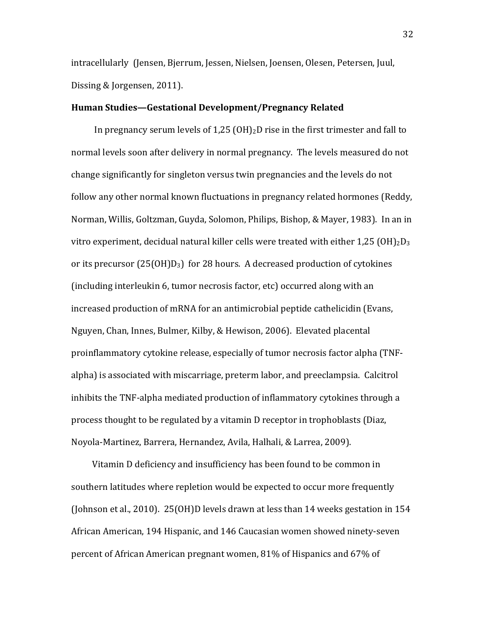intracellularly (Jensen, Bjerrum, Jessen, Nielsen, Joensen, Olesen, Petersen, Juul, Dissing & Jorgensen, 2011).

## Human Studies—Gestational Development/Pregnancy Related

In pregnancy serum levels of  $1.25$  (OH)<sub>2</sub>D rise in the first trimester and fall to normal levels soon after delivery in normal pregnancy. The levels measured do not change significantly for singleton versus twin pregnancies and the levels do not follow any other normal known fluctuations in pregnancy related hormones (Reddy, Norman, Willis, Goltzman, Guyda, Solomon, Philips, Bishop, & Mayer, 1983). In an in vitro experiment, decidual natural killer cells were treated with either  $1,25$  (OH)<sub>2</sub>D<sub>3</sub> or its precursor ( $25(OH)D_3$ ) for 28 hours. A decreased production of cytokines (including interleukin 6, tumor necrosis factor, etc) occurred along with an increased production of mRNA for an antimicrobial peptide cathelicidin (Evans, Nguyen, Chan, Innes, Bulmer, Kilby, & Hewison, 2006). Elevated placental proinflammatory cytokine release, especially of tumor necrosis factor alpha (TNFalpha) is associated with miscarriage, preterm labor, and preeclampsia. Calcitrol inhibits the TNF-alpha mediated production of inflammatory cytokines through a process thought to be regulated by a vitamin D receptor in trophoblasts (Diaz, Noyola-Martinez, Barrera, Hernandez, Avila, Halhali, & Larrea, 2009).

Vitamin D deficiency and insufficiency has been found to be common in southern latitudes where repletion would be expected to occur more frequently (Johnson et al., 2010).  $25(OH)D$  levels drawn at less than 14 weeks gestation in 154 African American, 194 Hispanic, and 146 Caucasian women showed ninety-seven percent of African American pregnant women, 81% of Hispanics and 67% of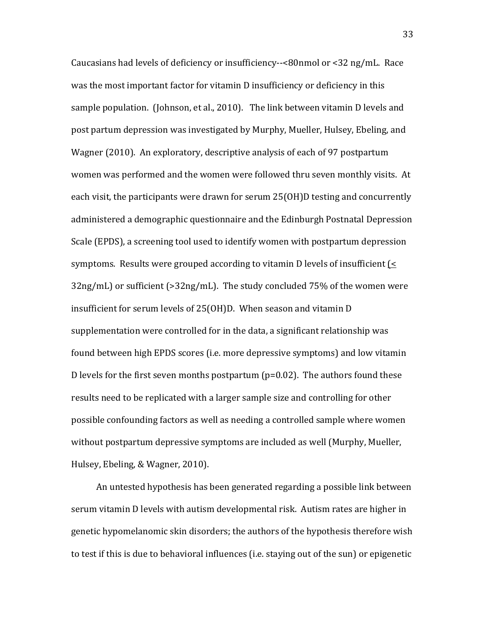Caucasians had levels of deficiency or insufficiency- $\sim$  -<80nmol or <32 ng/mL. Race was the most important factor for vitamin D insufficiency or deficiency in this sample population. (Johnson, et al., 2010). The link between vitamin D levels and post partum depression was investigated by Murphy, Mueller, Hulsey, Ebeling, and Wagner (2010). An exploratory, descriptive analysis of each of 97 postpartum women was performed and the women were followed thru seven monthly visits. At each visit, the participants were drawn for serum  $25(OH)D$  testing and concurrently administered a demographic questionnaire and the Edinburgh Postnatal Depression Scale (EPDS), a screening tool used to identify women with postpartum depression symptoms. Results were grouped according to vitamin D levels of insufficient  $\leq$  $32ng/mL$ ) or sufficient (> $32ng/mL$ ). The study concluded 75% of the women were insufficient for serum levels of 25(OH)D. When season and vitamin D supplementation were controlled for in the data, a significant relationship was found between high EPDS scores (i.e. more depressive symptoms) and low vitamin D levels for the first seven months postpartum ( $p=0.02$ ). The authors found these results need to be replicated with a larger sample size and controlling for other possible confounding factors as well as needing a controlled sample where women without postpartum depressive symptoms are included as well (Murphy, Mueller, Hulsey, Ebeling, & Wagner, 2010).

An untested hypothesis has been generated regarding a possible link between serum vitamin D levels with autism developmental risk. Autism rates are higher in genetic hypomelanomic skin disorders; the authors of the hypothesis therefore wish to test if this is due to behavioral influences (i.e. staying out of the sun) or epigenetic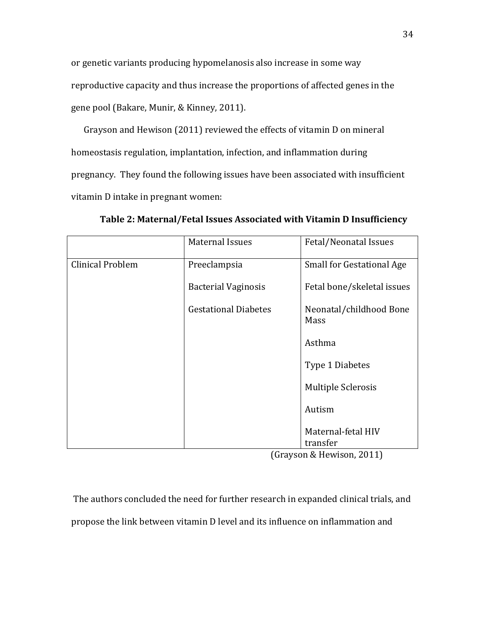or genetic variants producing hypomelanosis also increase in some way reproductive capacity and thus increase the proportions of affected genes in the gene pool (Bakare, Munir, & Kinney, 2011).

Grayson and Hewison (2011) reviewed the effects of vitamin D on mineral homeostasis regulation, implantation, infection, and inflammation during pregnancy. They found the following issues have been associated with insufficient vitamin D intake in pregnant women:

|                         | <b>Maternal Issues</b>      | Fetal/Neonatal Issues            |
|-------------------------|-----------------------------|----------------------------------|
| <b>Clinical Problem</b> | Preeclampsia                | <b>Small for Gestational Age</b> |
|                         | <b>Bacterial Vaginosis</b>  | Fetal bone/skeletal issues       |
|                         | <b>Gestational Diabetes</b> | Neonatal/childhood Bone<br>Mass  |
|                         |                             | Asthma                           |
|                         |                             | Type 1 Diabetes                  |
|                         |                             | Multiple Sclerosis               |
|                         |                             | Autism                           |
|                         |                             | Maternal-fetal HIV<br>transfer   |

Table 2: Maternal/Fetal Issues Associated with Vitamin D Insufficiency

(Grayson & Hewison, 2011)

The authors concluded the need for further research in expanded clinical trials, and propose the link between vitamin D level and its influence on inflammation and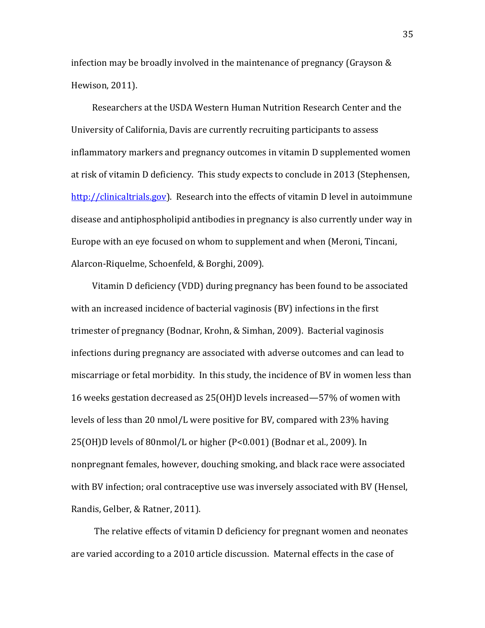infection may be broadly involved in the maintenance of pregnancy (Grayson  $&$ Hewison, 2011).

Researchers at the USDA Western Human Nutrition Research Center and the University of California, Davis are currently recruiting participants to assess inflammatory markers and pregnancy outcomes in vitamin D supplemented women at risk of vitamin D deficiency. This study expects to conclude in 2013 (Stephensen, http://clinicaltrials.gov). Research into the effects of vitamin D level in autoimmune disease and antiphospholipid antibodies in pregnancy is also currently under way in Europe with an eye focused on whom to supplement and when (Meroni, Tincani, Alarcon-Riquelme, Schoenfeld, & Borghi, 2009).

Vitamin D deficiency (VDD) during pregnancy has been found to be associated with an increased incidence of bacterial vaginosis (BV) infections in the first trimester of pregnancy (Bodnar, Krohn, & Simhan, 2009). Bacterial vaginosis infections during pregnancy are associated with adverse outcomes and can lead to miscarriage or fetal morbidity. In this study, the incidence of BV in women less than 16 weeks gestation decreased as 25(OH)D levels increased—57% of women with levels of less than 20 nmol/L were positive for BV, compared with 23% having  $25(OH)D$  levels of 80nmol/L or higher (P<0.001) (Bodnar et al., 2009). In nonpregnant females, however, douching smoking, and black race were associated with BV infection; oral contraceptive use was inversely associated with BV (Hensel, Randis, Gelber, & Ratner, 2011).

The relative effects of vitamin D deficiency for pregnant women and neonates are varied according to a 2010 article discussion. Maternal effects in the case of

35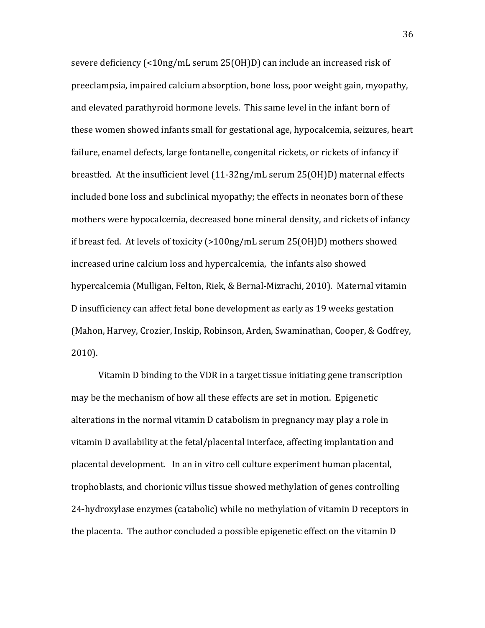severe deficiency (<10ng/mL serum 25(OH)D) can include an increased risk of preeclampsia, impaired calcium absorption, bone loss, poor weight gain, myopathy, and elevated parathyroid hormone levels. This same level in the infant born of these women showed infants small for gestational age, hypocalcemia, seizures, heart failure, enamel defects, large fontanelle, congenital rickets, or rickets of infancy if breastfed. At the insufficient level (11-32ng/mL serum 25(OH)D) maternal effects included bone loss and subclinical myopathy; the effects in neonates born of these mothers were hypocalcemia, decreased bone mineral density, and rickets of infancy if breast fed. At levels of toxicity  $(>100$ ng/mL serum  $25(OH)D)$  mothers showed increased urine calcium loss and hypercalcemia, the infants also showed hypercalcemia (Mulligan, Felton, Riek, & Bernal-Mizrachi, 2010). Maternal vitamin D insufficiency can affect fetal bone development as early as 19 weeks gestation (Mahon, Harvey, Crozier, Inskip, Robinson, Arden, Swaminathan, Cooper, & Godfrey, 2010).

Vitamin D binding to the VDR in a target tissue initiating gene transcription may be the mechanism of how all these effects are set in motion. Epigenetic alterations in the normal vitamin D catabolism in pregnancy may play a role in vitamin D availability at the fetal/placental interface, affecting implantation and placental development. In an in vitro cell culture experiment human placental, trophoblasts, and chorionic villus tissue showed methylation of genes controlling 24-hydroxylase enzymes (catabolic) while no methylation of vitamin D receptors in the placenta. The author concluded a possible epigenetic effect on the vitamin D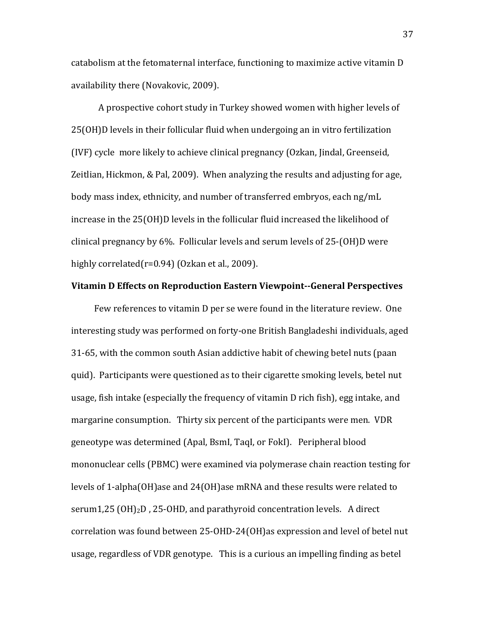catabolism at the fetomaternal interface, functioning to maximize active vitamin D availability there (Novakovic, 2009).

A prospective cohort study in Turkey showed women with higher levels of 25(OH)D levels in their follicular fluid when undergoing an in vitro fertilization (IVF) cycle more likely to achieve clinical pregnancy (Ozkan, Jindal, Greenseid, Zeitlian, Hickmon, & Pal, 2009). When analyzing the results and adjusting for age, body mass index, ethnicity, and number of transferred embryos, each ng/mL increase in the 25(OH)D levels in the follicular fluid increased the likelihood of clinical pregnancy by 6%. Follicular levels and serum levels of  $25-(OH)D$  were highly correlated( $r=0.94$ ) (Ozkan et al., 2009).

### Vitamin D Effects on Reproduction Eastern Viewpoint--General Perspectives

Few references to vitamin D per se were found in the literature review. One interesting study was performed on forty-one British Bangladeshi individuals, aged 31-65, with the common south Asian addictive habit of chewing betel nuts (paan quid). Participants were questioned as to their cigarette smoking levels, betel nut usage, fish intake (especially the frequency of vitamin D rich fish), egg intake, and margarine consumption. Thirty six percent of the participants were men. VDR geneotype was determined (Apal, BsmI, TaqI, or FokI). Peripheral blood mononuclear cells (PBMC) were examined via polymerase chain reaction testing for levels of 1-alpha(OH)ase and 24(OH)ase mRNA and these results were related to serum1,25 (OH)<sub>2</sub>D, 25-OHD, and parathyroid concentration levels. A direct correlation was found between 25-OHD-24(OH)as expression and level of betel nut usage, regardless of VDR genotype. This is a curious an impelling finding as betel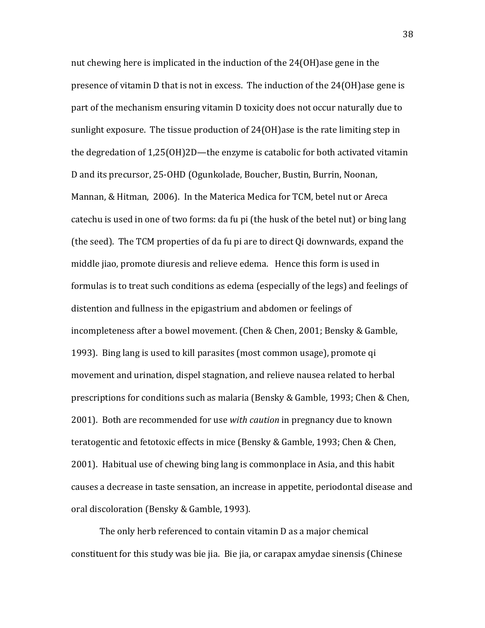nut chewing here is implicated in the induction of the  $24(OH)$ ase gene in the presence of vitamin  $D$  that is not in excess. The induction of the  $24(OH)$ ase gene is part of the mechanism ensuring vitamin D toxicity does not occur naturally due to sunlight exposure. The tissue production of  $24(OH)$ ase is the rate limiting step in the degredation of  $1,25(OH)2D$ —the enzyme is catabolic for both activated vitamin D and its precursor, 25-OHD (Ogunkolade, Boucher, Bustin, Burrin, Noonan, Mannan, & Hitman, 2006). In the Materica Medica for TCM, betel nut or Areca catechu is used in one of two forms: da fu pi (the husk of the betel nut) or bing lang (the seed). The TCM properties of da fu pi are to direct Qi downwards, expand the middle jiao, promote diuresis and relieve edema. Hence this form is used in formulas is to treat such conditions as edema (especially of the legs) and feelings of distention and fullness in the epigastrium and abdomen or feelings of incompleteness after a bowel movement. (Chen & Chen, 2001; Bensky & Gamble, 1993). Bing lang is used to kill parasites (most common usage), promote qi movement and urination, dispel stagnation, and relieve nausea related to herbal prescriptions for conditions such as malaria (Bensky & Gamble, 1993; Chen & Chen, 2001). Both are recommended for use *with caution* in pregnancy due to known teratogentic and fetotoxic effects in mice (Bensky & Gamble, 1993; Chen & Chen, 2001). Habitual use of chewing bing lang is commonplace in Asia, and this habit causes a decrease in taste sensation, an increase in appetite, periodontal disease and oral discoloration (Bensky & Gamble, 1993).

The only herb referenced to contain vitamin D as a major chemical constituent for this study was bie jia. Bie jia, or carapax amydae sinensis (Chinese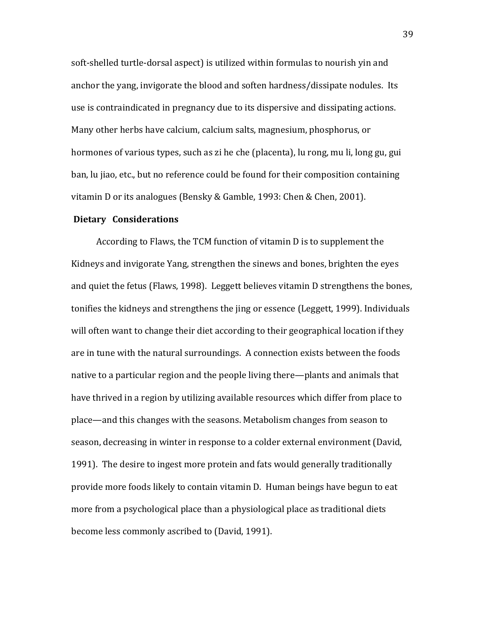soft-shelled turtle-dorsal aspect) is utilized within formulas to nourish yin and anchor the yang, invigorate the blood and soften hardness/dissipate nodules. Its use is contraindicated in pregnancy due to its dispersive and dissipating actions. Many other herbs have calcium, calcium salts, magnesium, phosphorus, or hormones of various types, such as zi he che (placenta), lu rong, mu li, long gu, gui ban, lu jiao, etc., but no reference could be found for their composition containing vitamin D or its analogues (Bensky & Gamble, 1993: Chen & Chen, 2001).

### **Dietary Considerations**

According to Flaws, the TCM function of vitamin D is to supplement the Kidneys and invigorate Yang, strengthen the sinews and bones, brighten the eyes and quiet the fetus (Flaws, 1998). Leggett believes vitamin D strengthens the bones, tonifies the kidneys and strengthens the jing or essence (Leggett, 1999). Individuals will often want to change their diet according to their geographical location if they are in tune with the natural surroundings. A connection exists between the foods native to a particular region and the people living there—plants and animals that have thrived in a region by utilizing available resources which differ from place to place—and this changes with the seasons. Metabolism changes from season to season, decreasing in winter in response to a colder external environment (David, 1991). The desire to ingest more protein and fats would generally traditionally provide more foods likely to contain vitamin D. Human beings have begun to eat more from a psychological place than a physiological place as traditional diets become less commonly ascribed to (David, 1991).

39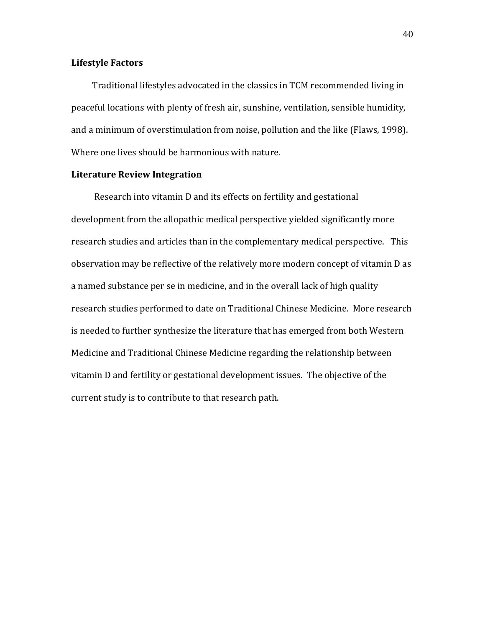## **Lifestyle Factors**

Traditional lifestyles advocated in the classics in TCM recommended living in peaceful locations with plenty of fresh air, sunshine, ventilation, sensible humidity, and a minimum of overstimulation from noise, pollution and the like (Flaws, 1998). Where one lives should be harmonious with nature.

# **Literature Review Integration**

Research into vitamin D and its effects on fertility and gestational development from the allopathic medical perspective yielded significantly more research studies and articles than in the complementary medical perspective. This observation may be reflective of the relatively more modern concept of vitamin D as a named substance per se in medicine, and in the overall lack of high quality research studies performed to date on Traditional Chinese Medicine. More research is needed to further synthesize the literature that has emerged from both Western Medicine and Traditional Chinese Medicine regarding the relationship between vitamin D and fertility or gestational development issues. The objective of the current study is to contribute to that research path.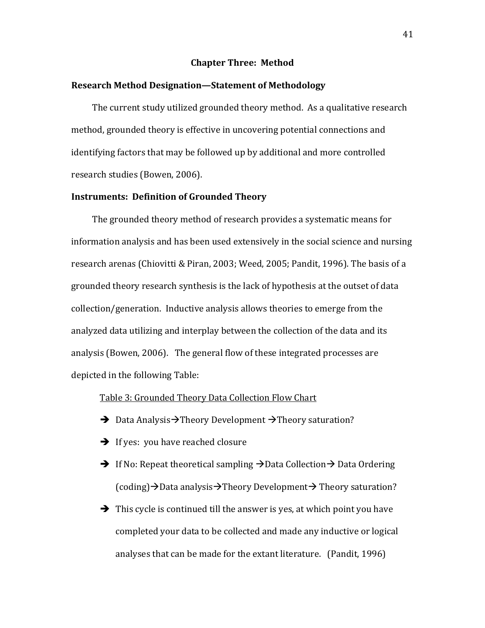### **Chapter Three: Method**

# Research Method Designation—Statement of Methodology

The current study utilized grounded theory method. As a qualitative research method, grounded theory is effective in uncovering potential connections and identifying factors that may be followed up by additional and more controlled research studies (Bowen, 2006).

### **Instruments: Definition of Grounded Theory**

The grounded theory method of research provides a systematic means for information analysis and has been used extensively in the social science and nursing research arenas (Chiovitti & Piran, 2003; Weed, 2005; Pandit, 1996). The basis of a grounded theory research synthesis is the lack of hypothesis at the outset of data  $\alpha$  collection/generation. Inductive analysis allows theories to emerge from the analyzed data utilizing and interplay between the collection of the data and its analysis (Bowen, 2006). The general flow of these integrated processes are depicted in the following Table:

### Table 3: Grounded Theory Data Collection Flow Chart

- $\rightarrow$  Data Analysis $\rightarrow$ Theory Development  $\rightarrow$ Theory saturation?
- $\rightarrow$  If yes: you have reached closure
- $\rightarrow$  If No: Repeat theoretical sampling  $\rightarrow$  Data Collection  $\rightarrow$  Data Ordering  $(coding) \rightarrow$ Data analysis $\rightarrow$ Theory Development $\rightarrow$  Theory saturation?
- $\rightarrow$  This cycle is continued till the answer is yes, at which point you have completed your data to be collected and made any inductive or logical analyses that can be made for the extant literature. (Pandit, 1996)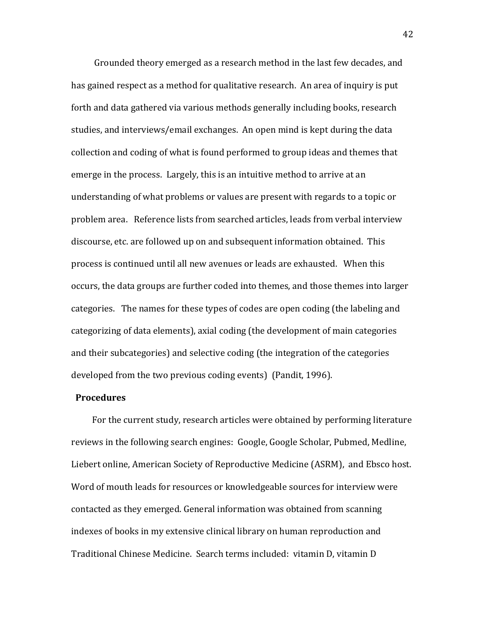Grounded theory emerged as a research method in the last few decades, and has gained respect as a method for qualitative research. An area of inquiry is put forth and data gathered via various methods generally including books, research studies, and interviews/email exchanges. An open mind is kept during the data collection and coding of what is found performed to group ideas and themes that emerge in the process. Largely, this is an intuitive method to arrive at an understanding of what problems or values are present with regards to a topic or problem area. Reference lists from searched articles, leads from verbal interview discourse, etc. are followed up on and subsequent information obtained. This process is continued until all new avenues or leads are exhausted. When this occurs, the data groups are further coded into themes, and those themes into larger categories. The names for these types of codes are open coding (the labeling and categorizing of data elements), axial coding (the development of main categories and their subcategories) and selective coding (the integration of the categories developed from the two previous coding events) (Pandit, 1996).

# Procedures

For the current study, research articles were obtained by performing literature reviews in the following search engines: Google, Google Scholar, Pubmed, Medline, Liebert online, American Society of Reproductive Medicine (ASRM), and Ebsco host. Word of mouth leads for resources or knowledgeable sources for interview were contacted as they emerged. General information was obtained from scanning indexes of books in my extensive clinical library on human reproduction and Traditional Chinese Medicine. Search terms included: vitamin D, vitamin D

42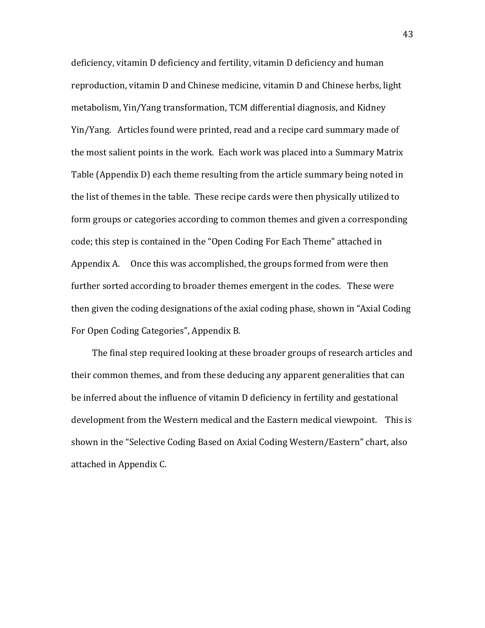deficiency, vitamin D deficiency and fertility, vitamin D deficiency and human reproduction, vitamin D and Chinese medicine, vitamin D and Chinese herbs, light metabolism, Yin/Yang transformation, TCM differential diagnosis, and Kidney Yin/Yang. Articles found were printed, read and a recipe card summary made of the most salient points in the work. Each work was placed into a Summary Matrix Table (Appendix D) each theme resulting from the article summary being noted in the list of themes in the table. These recipe cards were then physically utilized to form groups or categories according to common themes and given a corresponding code; this step is contained in the "Open Coding For Each Theme" attached in Appendix A. Once this was accomplished, the groups formed from were then further sorted according to broader themes emergent in the codes. These were then given the coding designations of the axial coding phase, shown in "Axial Coding" For Open Coding Categories", Appendix B.

The final step required looking at these broader groups of research articles and their common themes, and from these deducing any apparent generalities that can be inferred about the influence of vitamin D deficiency in fertility and gestational development from the Western medical and the Eastern medical viewpoint. This is shown in the "Selective Coding Based on Axial Coding Western/Eastern" chart, also attached in Appendix C.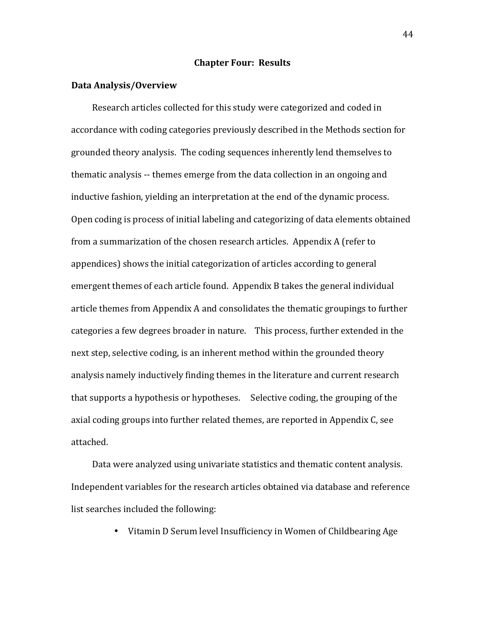### **Chapter Four: Results**

### **Data Analysis/Overview**

Research articles collected for this study were categorized and coded in accordance with coding categories previously described in the Methods section for grounded theory analysis. The coding sequences inherently lend themselves to thematic analysis -- themes emerge from the data collection in an ongoing and inductive fashion, yielding an interpretation at the end of the dynamic process. Open coding is process of initial labeling and categorizing of data elements obtained from a summarization of the chosen research articles. Appendix A (refer to appendices) shows the initial categorization of articles according to general emergent themes of each article found. Appendix B takes the general individual article themes from Appendix A and consolidates the thematic groupings to further categories a few degrees broader in nature. This process, further extended in the next step, selective coding, is an inherent method within the grounded theory analysis namely inductively finding themes in the literature and current research that supports a hypothesis or hypotheses. Selective coding, the grouping of the axial coding groups into further related themes, are reported in Appendix C, see attached.

Data were analyzed using univariate statistics and thematic content analysis. Independent variables for the research articles obtained via database and reference list searches included the following:

• Vitamin D Serum level Insufficiency in Women of Childbearing Age

44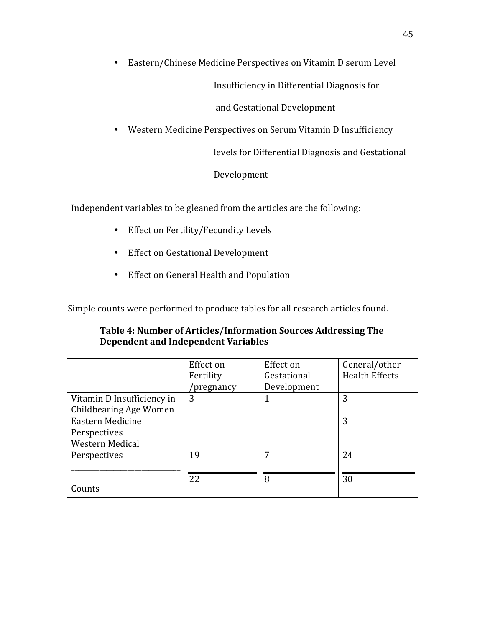• Eastern/Chinese Medicine Perspectives on Vitamin D serum Level

Insufficiency in Differential Diagnosis for

and Gestational Development

• Western Medicine Perspectives on Serum Vitamin D Insufficiency

levels for Differential Diagnosis and Gestational

Development

Independent variables to be gleaned from the articles are the following:

- Effect on Fertility/Fecundity Levels
- Effect on Gestational Development
- Effect on General Health and Population

Simple counts were performed to produce tables for all research articles found.

| Table 4: Number of Articles/Information Sources Addressing The |
|----------------------------------------------------------------|
| Dependent and Independent Variables                            |

|                            | Effect on  | Effect on   | General/other         |
|----------------------------|------------|-------------|-----------------------|
|                            | Fertility  | Gestational | <b>Health Effects</b> |
|                            | 'pregnancy | Development |                       |
| Vitamin D Insufficiency in | 3          |             | 3                     |
| Childbearing Age Women     |            |             |                       |
| Eastern Medicine           |            |             | 3                     |
| Perspectives               |            |             |                       |
| <b>Western Medical</b>     |            |             |                       |
| Perspectives               | 19         | 7           | 24                    |
|                            |            |             |                       |
|                            | 22         | 8           | 30                    |
| Counts                     |            |             |                       |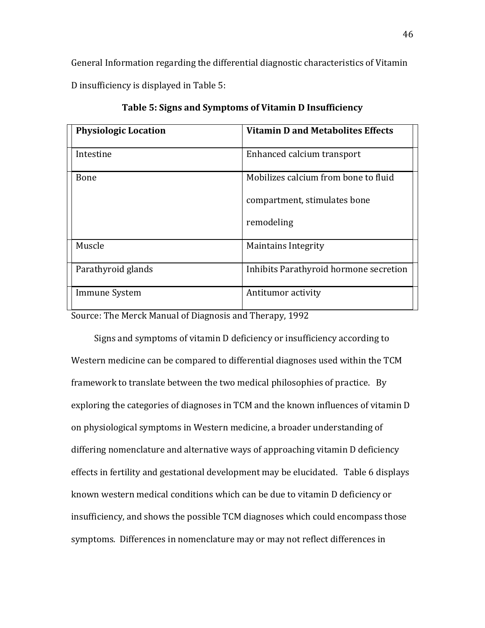General Information regarding the differential diagnostic characteristics of Vitamin D insufficiency is displayed in Table 5:

| <b>Physiologic Location</b> | <b>Vitamin D and Metabolites Effects</b> |
|-----------------------------|------------------------------------------|
| Intestine                   | Enhanced calcium transport               |
| <b>Bone</b>                 | Mobilizes calcium from bone to fluid     |
|                             | compartment, stimulates bone             |
|                             | remodeling                               |
| Muscle                      | <b>Maintains Integrity</b>               |
| Parathyroid glands          | Inhibits Parathyroid hormone secretion   |
| Immune System               | Antitumor activity                       |

Table 5: Signs and Symptoms of Vitamin D Insufficiency

Source: The Merck Manual of Diagnosis and Therapy, 1992

Signs and symptoms of vitamin D deficiency or insufficiency according to Western medicine can be compared to differential diagnoses used within the TCM framework to translate between the two medical philosophies of practice. By exploring the categories of diagnoses in TCM and the known influences of vitamin D on physiological symptoms in Western medicine, a broader understanding of differing nomenclature and alternative ways of approaching vitamin D deficiency effects in fertility and gestational development may be elucidated. Table 6 displays known western medical conditions which can be due to vitamin D deficiency or insufficiency, and shows the possible TCM diagnoses which could encompass those symptoms. Differences in nomenclature may or may not reflect differences in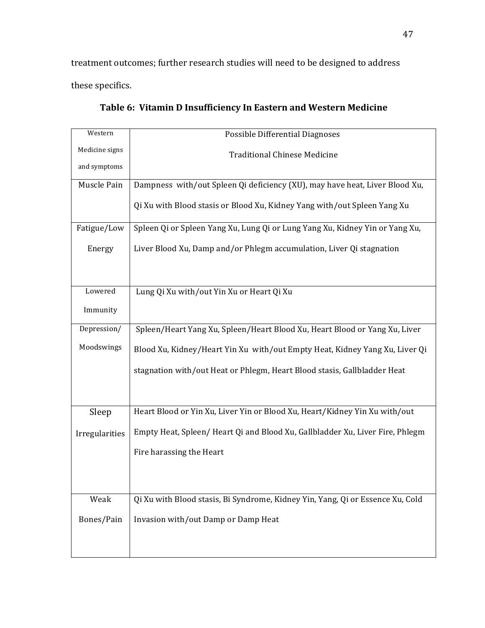treatment outcomes; further research studies will need to be designed to address these specifics.

| Western        | Possible Differential Diagnoses                                                |
|----------------|--------------------------------------------------------------------------------|
| Medicine signs | <b>Traditional Chinese Medicine</b>                                            |
| and symptoms   |                                                                                |
| Muscle Pain    | Dampness with/out Spleen Qi deficiency (XU), may have heat, Liver Blood Xu,    |
|                | Qi Xu with Blood stasis or Blood Xu, Kidney Yang with/out Spleen Yang Xu       |
| Fatigue/Low    | Spleen Qi or Spleen Yang Xu, Lung Qi or Lung Yang Xu, Kidney Yin or Yang Xu,   |
| Energy         | Liver Blood Xu, Damp and/or Phlegm accumulation, Liver Qi stagnation           |
|                |                                                                                |
|                |                                                                                |
| Lowered        | Lung Qi Xu with/out Yin Xu or Heart Qi Xu                                      |
| Immunity       |                                                                                |
| Depression/    | Spleen/Heart Yang Xu, Spleen/Heart Blood Xu, Heart Blood or Yang Xu, Liver     |
| Moodswings     | Blood Xu, Kidney/Heart Yin Xu with/out Empty Heat, Kidney Yang Xu, Liver Qi    |
|                | stagnation with/out Heat or Phlegm, Heart Blood stasis, Gallbladder Heat       |
|                |                                                                                |
|                | Heart Blood or Yin Xu, Liver Yin or Blood Xu, Heart/Kidney Yin Xu with/out     |
| Sleep          |                                                                                |
| Irregularities | Empty Heat, Spleen/Heart Qi and Blood Xu, Gallbladder Xu, Liver Fire, Phlegm   |
|                | Fire harassing the Heart                                                       |
|                |                                                                                |
|                |                                                                                |
| Weak           | Qi Xu with Blood stasis, Bi Syndrome, Kidney Yin, Yang, Qi or Essence Xu, Cold |
| Bones/Pain     | Invasion with/out Damp or Damp Heat                                            |
|                |                                                                                |
|                |                                                                                |

Table 6: Vitamin D Insufficiency In Eastern and Western Medicine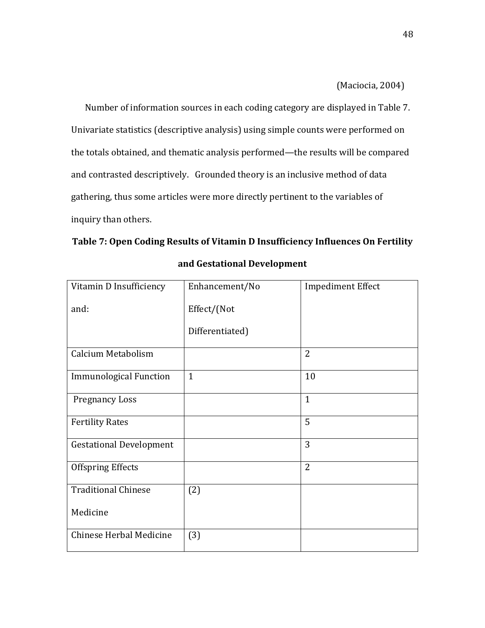$(Maciocia, 2004)$ 

Number of information sources in each coding category are displayed in Table 7. Univariate statistics (descriptive analysis) using simple counts were performed on the totals obtained, and thematic analysis performed—the results will be compared and contrasted descriptively. Grounded theory is an inclusive method of data gathering, thus some articles were more directly pertinent to the variables of inquiry than others.

|  |  | Table 7: Open Coding Results of Vitamin D Insufficiency Influences On Fertility |  |
|--|--|---------------------------------------------------------------------------------|--|
|  |  |                                                                                 |  |

| Vitamin D Insufficiency        | Enhancement/No  | <b>Impediment Effect</b> |
|--------------------------------|-----------------|--------------------------|
| and:                           | Effect/(Not     |                          |
|                                | Differentiated) |                          |
| Calcium Metabolism             |                 | $\overline{2}$           |
| <b>Immunological Function</b>  | $\mathbf{1}$    | 10                       |
| <b>Pregnancy Loss</b>          |                 | $\mathbf{1}$             |
| <b>Fertility Rates</b>         |                 | 5                        |
| <b>Gestational Development</b> |                 | 3                        |
| <b>Offspring Effects</b>       |                 | 2                        |
| <b>Traditional Chinese</b>     | (2)             |                          |
| Medicine                       |                 |                          |
| Chinese Herbal Medicine        | (3)             |                          |

# and Gestational Development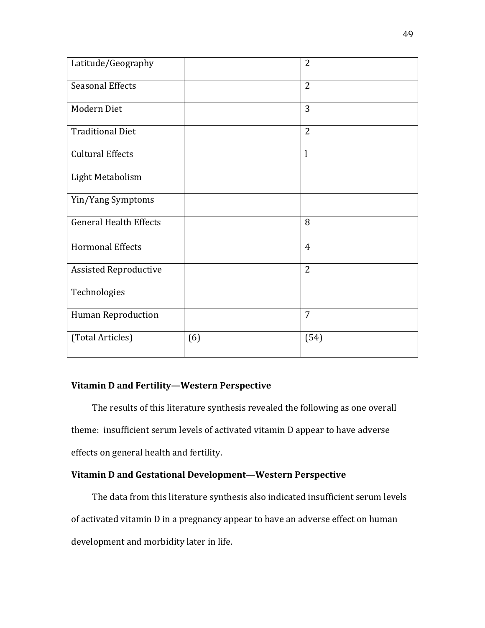| Latitude/Geography            |     | 2              |
|-------------------------------|-----|----------------|
| <b>Seasonal Effects</b>       |     | 2              |
| Modern Diet                   |     | 3              |
| <b>Traditional Diet</b>       |     | $\overline{2}$ |
| <b>Cultural Effects</b>       |     | l              |
| Light Metabolism              |     |                |
| Yin/Yang Symptoms             |     |                |
| <b>General Health Effects</b> |     | 8              |
| <b>Hormonal Effects</b>       |     | $\overline{4}$ |
| <b>Assisted Reproductive</b>  |     | 2              |
| Technologies                  |     |                |
| <b>Human Reproduction</b>     |     | 7              |
| (Total Articles)              | (6) | (54)           |

## Vitamin D and Fertility—Western Perspective

The results of this literature synthesis revealed the following as one overall theme: insufficient serum levels of activated vitamin D appear to have adverse effects on general health and fertility.

# Vitamin D and Gestational Development—Western Perspective

The data from this literature synthesis also indicated insufficient serum levels of activated vitamin D in a pregnancy appear to have an adverse effect on human development and morbidity later in life.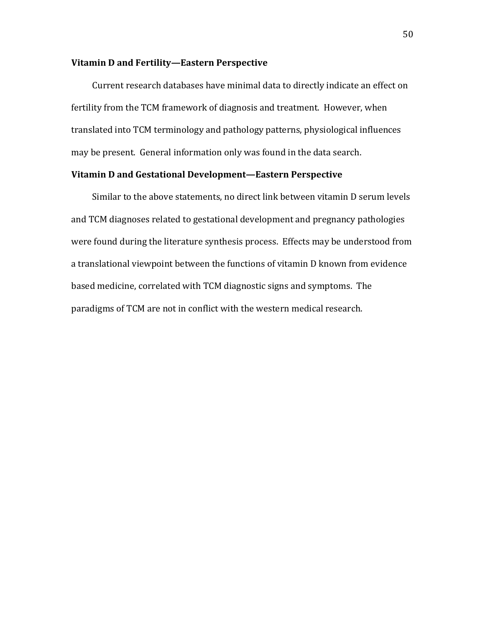### Vitamin D and Fertility—Eastern Perspective

Current research databases have minimal data to directly indicate an effect on fertility from the TCM framework of diagnosis and treatment. However, when translated into TCM terminology and pathology patterns, physiological influences may be present. General information only was found in the data search.

# Vitamin D and Gestational Development—Eastern Perspective

Similar to the above statements, no direct link between vitamin D serum levels and TCM diagnoses related to gestational development and pregnancy pathologies were found during the literature synthesis process. Effects may be understood from a translational viewpoint between the functions of vitamin D known from evidence based medicine, correlated with TCM diagnostic signs and symptoms. The paradigms of TCM are not in conflict with the western medical research.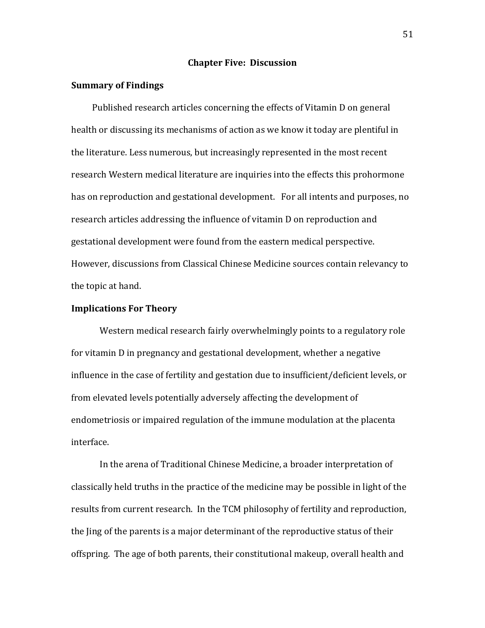### **Chapter Five: Discussion**

### **Summary of Findings**

Published research articles concerning the effects of Vitamin D on general health or discussing its mechanisms of action as we know it today are plentiful in the literature. Less numerous, but increasingly represented in the most recent research Western medical literature are inquiries into the effects this prohormone has on reproduction and gestational development. For all intents and purposes, no research articles addressing the influence of vitamin D on reproduction and gestational development were found from the eastern medical perspective. However, discussions from Classical Chinese Medicine sources contain relevancy to the topic at hand.

### **Implications For Theory**

Western medical research fairly overwhelmingly points to a regulatory role for vitamin D in pregnancy and gestational development, whether a negative influence in the case of fertility and gestation due to insufficient/deficient levels, or from elevated levels potentially adversely affecting the development of endometriosis or impaired regulation of the immune modulation at the placenta interface.

In the arena of Traditional Chinese Medicine, a broader interpretation of classically held truths in the practice of the medicine may be possible in light of the results from current research. In the TCM philosophy of fertility and reproduction, the Jing of the parents is a major determinant of the reproductive status of their offspring. The age of both parents, their constitutional makeup, overall health and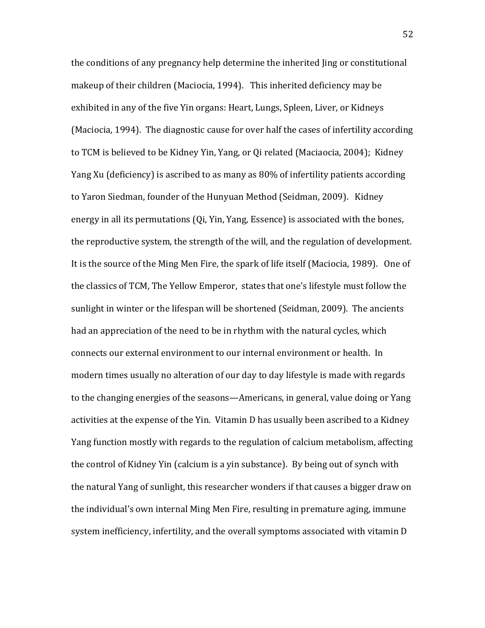the conditions of any pregnancy help determine the inherited ling or constitutional makeup of their children (Maciocia, 1994). This inherited deficiency may be exhibited in any of the five Yin organs: Heart, Lungs, Spleen, Liver, or Kidneys (Maciocia, 1994). The diagnostic cause for over half the cases of infertility according to TCM is believed to be Kidney Yin, Yang, or Qi related (Maciaocia, 2004); Kidney Yang Xu (deficiency) is ascribed to as many as 80% of infertility patients according to Yaron Siedman, founder of the Hunyuan Method (Seidman, 2009). Kidney energy in all its permutations (Qi, Yin, Yang, Essence) is associated with the bones, the reproductive system, the strength of the will, and the regulation of development. It is the source of the Ming Men Fire, the spark of life itself (Maciocia, 1989). One of the classics of TCM, The Yellow Emperor, states that one's lifestyle must follow the sunlight in winter or the lifespan will be shortened (Seidman, 2009). The ancients had an appreciation of the need to be in rhythm with the natural cycles, which connects our external environment to our internal environment or health. In modern times usually no alteration of our day to day lifestyle is made with regards to the changing energies of the seasons—Americans, in general, value doing or Yang activities at the expense of the Yin. Vitamin D has usually been ascribed to a Kidney Yang function mostly with regards to the regulation of calcium metabolism, affecting the control of Kidney Yin (calcium is a yin substance). By being out of synch with the natural Yang of sunlight, this researcher wonders if that causes a bigger draw on the individual's own internal Ming Men Fire, resulting in premature aging, immune system inefficiency, infertility, and the overall symptoms associated with vitamin D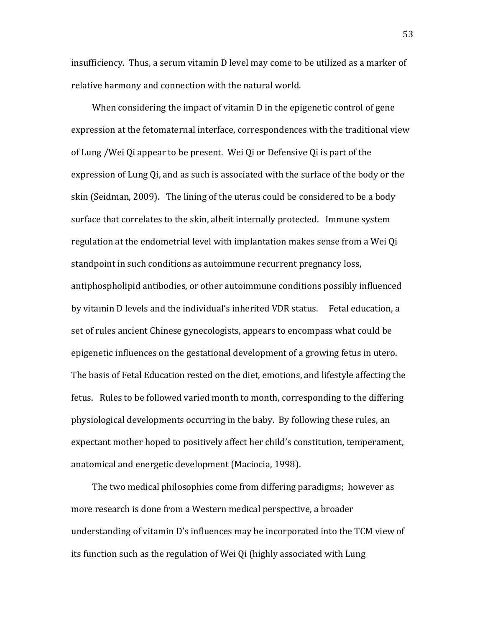insufficiency. Thus, a serum vitamin D level may come to be utilized as a marker of relative harmony and connection with the natural world.

When considering the impact of vitamin D in the epigenetic control of gene expression at the fetomaternal interface, correspondences with the traditional view of Lung / Wei Qi appear to be present. Wei Qi or Defensive Qi is part of the expression of Lung Qi, and as such is associated with the surface of the body or the skin (Seidman, 2009). The lining of the uterus could be considered to be a body surface that correlates to the skin, albeit internally protected. Immune system regulation at the endometrial level with implantation makes sense from a Wei Qi standpoint in such conditions as autoimmune recurrent pregnancy loss, antiphospholipid antibodies, or other autoimmune conditions possibly influenced by vitamin D levels and the individual's inherited VDR status. Fetal education, a set of rules ancient Chinese gynecologists, appears to encompass what could be epigenetic influences on the gestational development of a growing fetus in utero. The basis of Fetal Education rested on the diet, emotions, and lifestyle affecting the fetus. Rules to be followed varied month to month, corresponding to the differing physiological developments occurring in the baby. By following these rules, an expectant mother hoped to positively affect her child's constitution, temperament, anatomical and energetic development (Maciocia, 1998).

The two medical philosophies come from differing paradigms; however as more research is done from a Western medical perspective, a broader understanding of vitamin D's influences may be incorporated into the TCM view of its function such as the regulation of Wei Qi (highly associated with Lung

53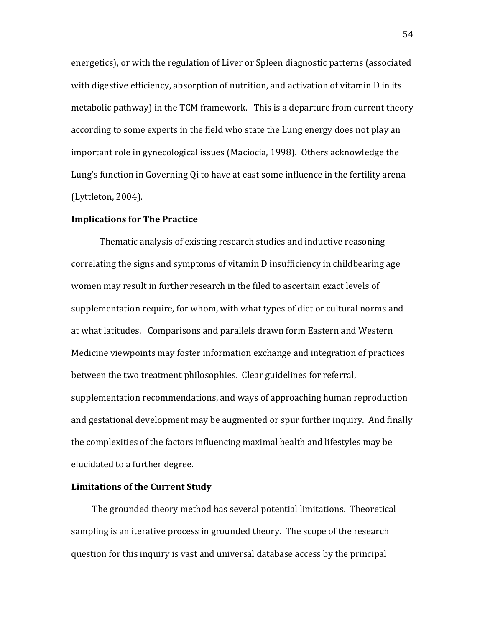energetics), or with the regulation of Liver or Spleen diagnostic patterns (associated with digestive efficiency, absorption of nutrition, and activation of vitamin D in its metabolic pathway) in the TCM framework. This is a departure from current theory according to some experts in the field who state the Lung energy does not play an important role in gynecological issues (Maciocia, 1998). Others acknowledge the Lung's function in Governing Qi to have at east some influence in the fertility arena  $(Lytleton, 2004).$ 

## **Implications for The Practice**

Thematic analysis of existing research studies and inductive reasoning correlating the signs and symptoms of vitamin D insufficiency in childbearing age women may result in further research in the filed to ascertain exact levels of supplementation require, for whom, with what types of diet or cultural norms and at what latitudes. Comparisons and parallels drawn form Eastern and Western Medicine viewpoints may foster information exchange and integration of practices between the two treatment philosophies. Clear guidelines for referral, supplementation recommendations, and ways of approaching human reproduction and gestational development may be augmented or spur further inquiry. And finally the complexities of the factors influencing maximal health and lifestyles may be elucidated to a further degree.

### **Limitations of the Current Study**

The grounded theory method has several potential limitations. Theoretical sampling is an iterative process in grounded theory. The scope of the research question for this inquiry is vast and universal database access by the principal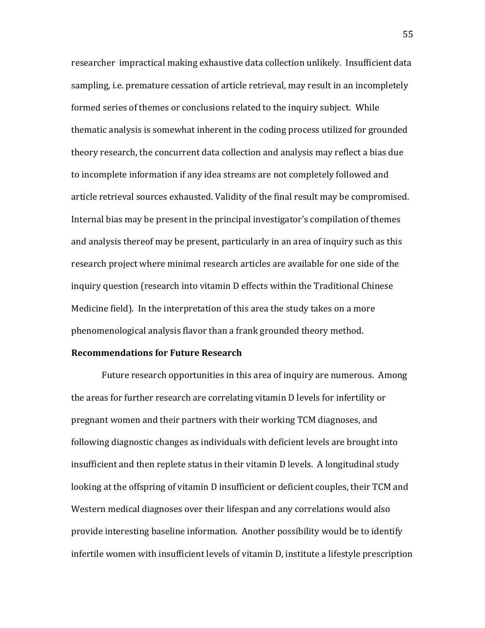researcher impractical making exhaustive data collection unlikely. Insufficient data sampling, i.e. premature cessation of article retrieval, may result in an incompletely formed series of themes or conclusions related to the inquiry subject. While thematic analysis is somewhat inherent in the coding process utilized for grounded theory research, the concurrent data collection and analysis may reflect a bias due to incomplete information if any idea streams are not completely followed and article retrieval sources exhausted. Validity of the final result may be compromised. Internal bias may be present in the principal investigator's compilation of themes and analysis thereof may be present, particularly in an area of inquiry such as this research project where minimal research articles are available for one side of the inquiry question (research into vitamin D effects within the Traditional Chinese Medicine field). In the interpretation of this area the study takes on a more phenomenological analysis flavor than a frank grounded theory method.

## **Recommendations for Future Research**

Future research opportunities in this area of inquiry are numerous. Among the areas for further research are correlating vitamin D levels for infertility or pregnant women and their partners with their working TCM diagnoses, and following diagnostic changes as individuals with deficient levels are brought into insufficient and then replete status in their vitamin D levels. A longitudinal study looking at the offspring of vitamin D insufficient or deficient couples, their TCM and Western medical diagnoses over their lifespan and any correlations would also provide interesting baseline information. Another possibility would be to identify infertile women with insufficient levels of vitamin D, institute a lifestyle prescription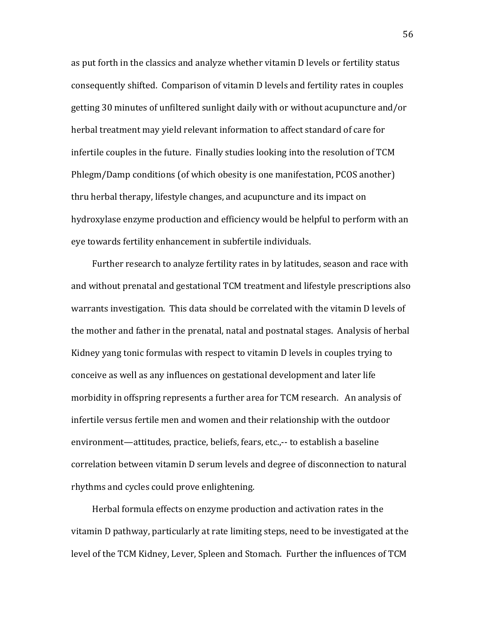as put forth in the classics and analyze whether vitamin D levels or fertility status consequently shifted. Comparison of vitamin D levels and fertility rates in couples getting 30 minutes of unfiltered sunlight daily with or without acupuncture and/or herbal treatment may yield relevant information to affect standard of care for infertile couples in the future. Finally studies looking into the resolution of TCM Phlegm/Damp conditions (of which obesity is one manifestation, PCOS another) thru herbal therapy, lifestyle changes, and acupuncture and its impact on hydroxylase enzyme production and efficiency would be helpful to perform with an eye towards fertility enhancement in subfertile individuals.

Further research to analyze fertility rates in by latitudes, season and race with and without prenatal and gestational TCM treatment and lifestyle prescriptions also warrants investigation. This data should be correlated with the vitamin D levels of the mother and father in the prenatal, natal and postnatal stages. Analysis of herbal Kidney yang tonic formulas with respect to vitamin D levels in couples trying to conceive as well as any influences on gestational development and later life morbidity in offspring represents a further area for TCM research. An analysis of infertile versus fertile men and women and their relationship with the outdoor environment—attitudes, practice, beliefs, fears, etc.,-- to establish a baseline correlation between vitamin D serum levels and degree of disconnection to natural rhythms and cycles could prove enlightening.

Herbal formula effects on enzyme production and activation rates in the vitamin D pathway, particularly at rate limiting steps, need to be investigated at the level of the TCM Kidney, Lever, Spleen and Stomach. Further the influences of TCM

56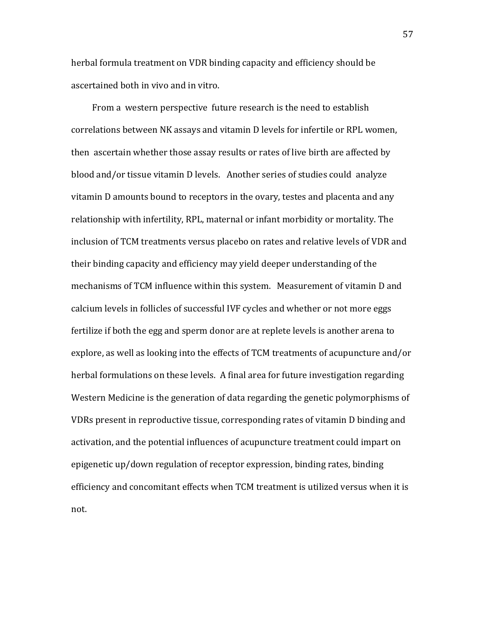herbal formula treatment on VDR binding capacity and efficiency should be ascertained both in vivo and in vitro.

From a western perspective future research is the need to establish correlations between NK assays and vitamin D levels for infertile or RPL women, then ascertain whether those assay results or rates of live birth are affected by blood and/or tissue vitamin D levels. Another series of studies could analyze vitamin D amounts bound to receptors in the ovary, testes and placenta and any relationship with infertility, RPL, maternal or infant morbidity or mortality. The inclusion of TCM treatments versus placebo on rates and relative levels of VDR and their binding capacity and efficiency may yield deeper understanding of the mechanisms of TCM influence within this system. Measurement of vitamin D and calcium levels in follicles of successful IVF cycles and whether or not more eggs fertilize if both the egg and sperm donor are at replete levels is another arena to explore, as well as looking into the effects of TCM treatments of acupuncture and/or herbal formulations on these levels. A final area for future investigation regarding Western Medicine is the generation of data regarding the genetic polymorphisms of VDRs present in reproductive tissue, corresponding rates of vitamin D binding and activation, and the potential influences of acupuncture treatment could impart on epigenetic up/down regulation of receptor expression, binding rates, binding efficiency and concomitant effects when TCM treatment is utilized versus when it is not.

57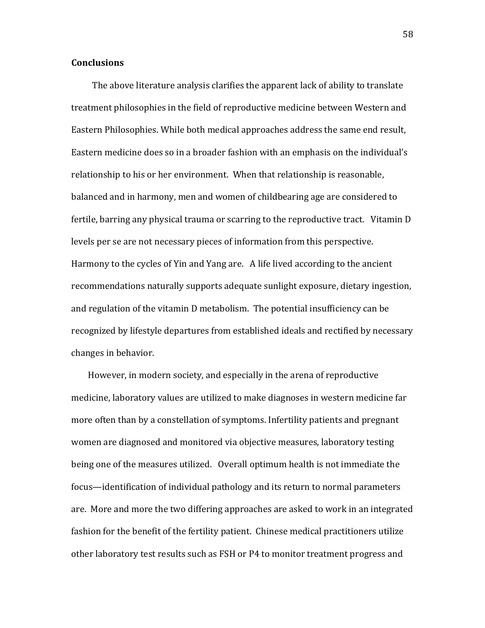## **Conclusions**

The above literature analysis clarifies the apparent lack of ability to translate treatment philosophies in the field of reproductive medicine between Western and Eastern Philosophies. While both medical approaches address the same end result, Eastern medicine does so in a broader fashion with an emphasis on the individual's relationship to his or her environment. When that relationship is reasonable, balanced and in harmony, men and women of childbearing age are considered to fertile, barring any physical trauma or scarring to the reproductive tract. Vitamin D levels per se are not necessary pieces of information from this perspective. Harmony to the cycles of Yin and Yang are. A life lived according to the ancient recommendations naturally supports adequate sunlight exposure, dietary ingestion, and regulation of the vitamin D metabolism. The potential insufficiency can be recognized by lifestyle departures from established ideals and rectified by necessary changes in behavior.

However, in modern society, and especially in the arena of reproductive medicine, laboratory values are utilized to make diagnoses in western medicine far more often than by a constellation of symptoms. Infertility patients and pregnant women are diagnosed and monitored via objective measures, laboratory testing being one of the measures utilized. Overall optimum health is not immediate the focus—identification of individual pathology and its return to normal parameters are. More and more the two differing approaches are asked to work in an integrated fashion for the benefit of the fertility patient. Chinese medical practitioners utilize other laboratory test results such as FSH or P4 to monitor treatment progress and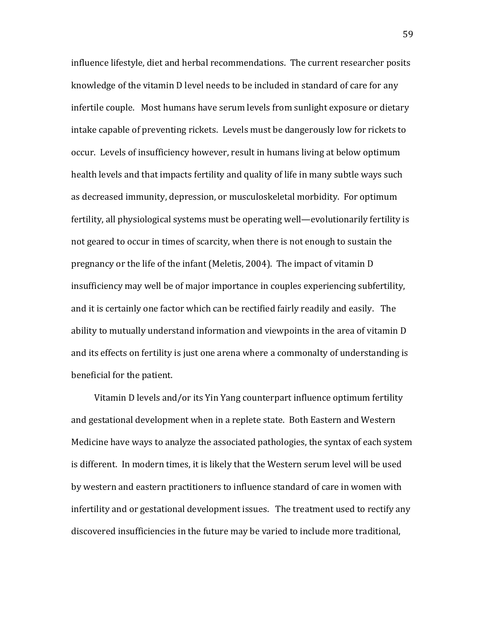influence lifestyle, diet and herbal recommendations. The current researcher posits knowledge of the vitamin D level needs to be included in standard of care for any infertile couple. Most humans have serum levels from sunlight exposure or dietary intake capable of preventing rickets. Levels must be dangerously low for rickets to occur. Levels of insufficiency however, result in humans living at below optimum health levels and that impacts fertility and quality of life in many subtle ways such as decreased immunity, depression, or musculoskeletal morbidity. For optimum fertility, all physiological systems must be operating well—evolutionarily fertility is not geared to occur in times of scarcity, when there is not enough to sustain the pregnancy or the life of the infant (Meletis, 2004). The impact of vitamin D insufficiency may well be of major importance in couples experiencing subfertility, and it is certainly one factor which can be rectified fairly readily and easily. The ability to mutually understand information and viewpoints in the area of vitamin D and its effects on fertility is just one arena where a commonalty of understanding is beneficial for the patient.

Vitamin D levels and/or its Yin Yang counterpart influence optimum fertility and gestational development when in a replete state. Both Eastern and Western Medicine have ways to analyze the associated pathologies, the syntax of each system is different. In modern times, it is likely that the Western serum level will be used by western and eastern practitioners to influence standard of care in women with infertility and or gestational development issues. The treatment used to rectify any discovered insufficiencies in the future may be varied to include more traditional,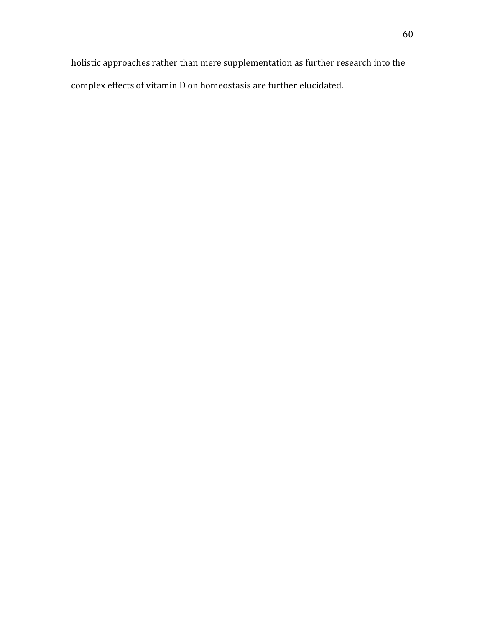holistic approaches rather than mere supplementation as further research into the complex effects of vitamin D on homeostasis are further elucidated.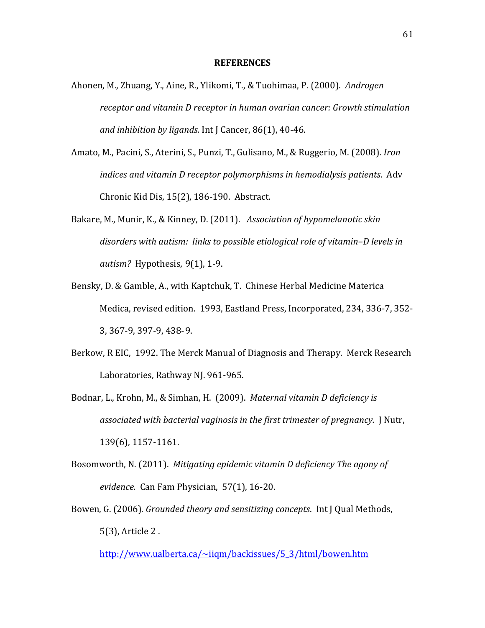#### **REFERENCES**

- Ahonen, M., Zhuang, Y., Aine, R., Ylikomi, T., & Tuohimaa, P. (2000). *Androgen receptor and vitamin D receptor in human ovarian cancer: Growth stimulation* and inhibition by ligands. Int J Cancer, 86(1), 40-46.
- Amato, M., Pacini, S., Aterini, S., Punzi, T., Gulisano, M., & Ruggerio, M. (2008). *Iron indices and vitamin D receptor polymorphisms in hemodialysis patients. Adv* Chronic Kid Dis, 15(2), 186-190. Abstract.
- Bakare, M., Munir, K., & Kinney, D. (2011). Association of hypomelanotic skin *disorders with autism: links to possible etiological role of vitamin–D levels in autism?* Hypothesis, 9(1), 1-9.
- Bensky, D. & Gamble, A., with Kaptchuk, T. Chinese Herbal Medicine Materica Medica, revised edition. 1993, Eastland Press, Incorporated, 234, 336-7, 352-3, 367-9, 397-9, 438-9.
- Berkow, R EIC, 1992. The Merck Manual of Diagnosis and Therapy. Merck Research Laboratories, Rathway NJ. 961-965.
- Bodnar, L., Krohn, M., & Simhan, H. (2009). *Maternal vitamin D deficiency is associated with bacterial vaginosis in the first trimester of pregnancy. J Nutr,* 139(6), 1157-1161.
- Bosomworth, N. (2011). *Mitigating epidemic vitamin D deficiency The agony of evidence.* Can Fam Physician, 57(1), 16-20.
- Bowen, G. (2006). *Grounded theory and sensitizing concepts*. Int J Qual Methods, 5(3), Article 2 .

http://www.ualberta.ca/~iiqm/backissues/5\_3/html/bowen.htm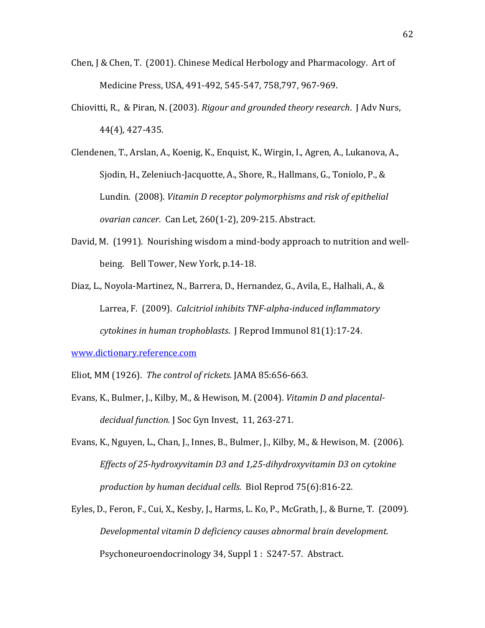- Chen, J & Chen, T.  $(2001)$ . Chinese Medical Herbology and Pharmacology. Art of Medicine Press, USA, 491-492, 545-547, 758,797, 967-969.
- Chiovitti, R., & Piran, N. (2003). *Rigour and grounded theory research*. J Adv Nurs, 44(4), 427-435.
- Clendenen, T., Arslan, A., Koenig, K., Enquist, K., Wirgin, I., Agren, A., Lukanova, A., Sjodin, H., Zeleniuch-Jacquotte, A., Shore, R., Hallmans, G., Toniolo, P., & Lundin. (2008). Vitamin D receptor polymorphisms and risk of epithelial *ovarian cancer.* Can Let, 260(1-2), 209-215. Abstract.
- David, M. (1991). Nourishing wisdom a mind-body approach to nutrition and wellbeing. Bell Tower, New York, p.14-18.
- Diaz, L., Noyola-Martinez, N., Barrera, D., Hernandez, G., Avila, E., Halhali, A., & Larrea, F. (2009). *Calcitriol inhibits TNF-alpha-induced inflammatory cytokines in human trophoblasts.* J Reprod Immunol 81(1):17-24.

www.dictionary.reference.com

- Eliot, MM (1926). The control of rickets. *JAMA* 85:656-663.
- Evans, K., Bulmer, J., Kilby, M., & Hewison, M. (2004). *Vitamin D and placentaldecidual function. J Soc Gyn Invest, 11, 263-271.*
- Evans, K., Nguyen, L., Chan, J., Innes, B., Bulmer, J., Kilby, M., & Hewison, M. (2006). *Effects of 25-hydroxyvitamin D3 and 1,25-dihydroxyvitamin D3 on cytokine production by human decidual cells. Biol Reprod 75(6):816-22.*
- Eyles, D., Feron, F., Cui, X., Kesby, J., Harms, L. Ko, P., McGrath, J., & Burne, T. (2009). *Developmental vitamin D deficiency causes abnormal brain development.* Psychoneuroendocrinology 34, Suppl 1 : S247-57. Abstract.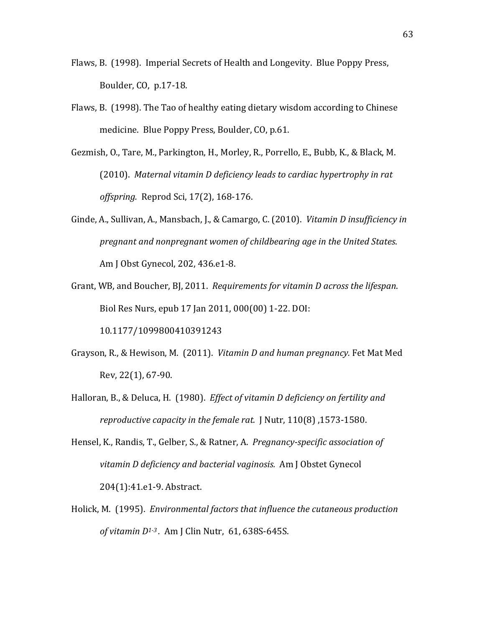- Flaws, B. (1998). Imperial Secrets of Health and Longevity. Blue Poppy Press, Boulder, CO, p.17-18.
- Flaws, B. (1998). The Tao of healthy eating dietary wisdom according to Chinese medicine. Blue Poppy Press, Boulder, CO, p.61.
- Gezmish, O., Tare, M., Parkington, H., Morley, R., Porrello, E., Bubb, K., & Black, M. (2010). Maternal vitamin D deficiency leads to cardiac hypertrophy in rat *offspring. Reprod Sci, 17(2), 168-176.*
- Ginde, A., Sullivan, A., Mansbach, J., & Camargo, C. (2010). *Vitamin D insufficiency in pregnant and nonpregnant women of childbearing age in the United States.* Am J Obst Gynecol, 202, 436.e1-8.
- Grant, WB, and Boucher, BJ, 2011. *Requirements for vitamin D across the lifespan*. Biol Res Nurs, epub 17 Jan 2011, 000(00) 1-22. DOI:

10.1177/1099800410391243

- Grayson, R., & Hewison, M. (2011). *Vitamin D and human pregnancy.* Fet Mat Med Rev, 22(1), 67-90.
- Halloran, B., & Deluca, H. (1980). *Effect of vitamin D deficiency on fertility and reproductive capacity in the female rat. J Nutr, 110(8) ,1573-1580.*
- Hensel, K., Randis, T., Gelber, S., & Ratner, A. *Pregnancy-specific association of* vitamin D deficiency and bacterial vaginosis. Am J Obstet Gynecol 204(1):41.e1-9. Abstract.
- Holick, M. (1995). *Environmental factors that influence the cutaneous production of vitamin D<sup>1-3</sup>.* Am J Clin Nutr, 61, 638S-645S.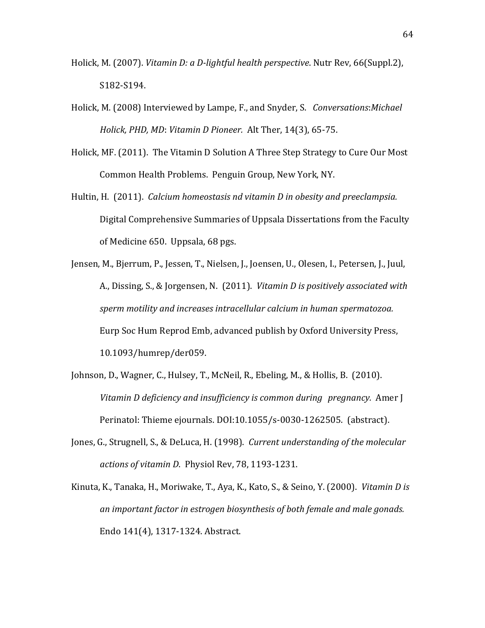- Holick, M. (2007). *Vitamin D: a D-lightful health perspective*. Nutr Rev, 66(Suppl.2), S182-S194.
- Holick, M. (2008) Interviewed by Lampe, F., and Snyder, S. *Conversations:Michael Holick, PHD, MD: Vitamin D Pioneer. Alt Ther, 14(3), 65-75.*
- Holick, MF. (2011). The Vitamin D Solution A Three Step Strategy to Cure Our Most Common Health Problems. Penguin Group, New York, NY.
- Hultin, H. (2011). *Calcium homeostasis nd vitamin D in obesity and preeclampsia.* Digital Comprehensive Summaries of Uppsala Dissertations from the Faculty of Medicine 650. Uppsala, 68 pgs.
- Jensen, M., Bjerrum, P., Jessen, T., Nielsen, J., Joensen, U., Olesen, I., Petersen, J., Juul, A., Dissing, S., & Jorgensen, N. (2011). *Vitamin D is positively associated with sperm motility and increases intracellular calcium in human spermatozoa.* Eurp Soc Hum Reprod Emb, advanced publish by Oxford University Press, 10.1093/humrep/der059.
- Johnson, D., Wagner, C., Hulsey, T., McNeil, R., Ebeling, M., & Hollis, B. (2010). *Vitamin D deficiency and insufficiency is common during pregnancy. Amer I* Perinatol: Thieme ejournals. DOI:10.1055/s-0030-1262505. (abstract).
- Jones, G., Strugnell, S., & DeLuca, H. (1998). *Current understanding of the molecular* actions of vitamin D. Physiol Rev, 78, 1193-1231.
- Kinuta, K., Tanaka, H., Moriwake, T., Aya, K., Kato, S., & Seino, Y. (2000). *Vitamin D is* an important factor in estrogen biosynthesis of both female and male gonads. Endo 141(4), 1317-1324. Abstract.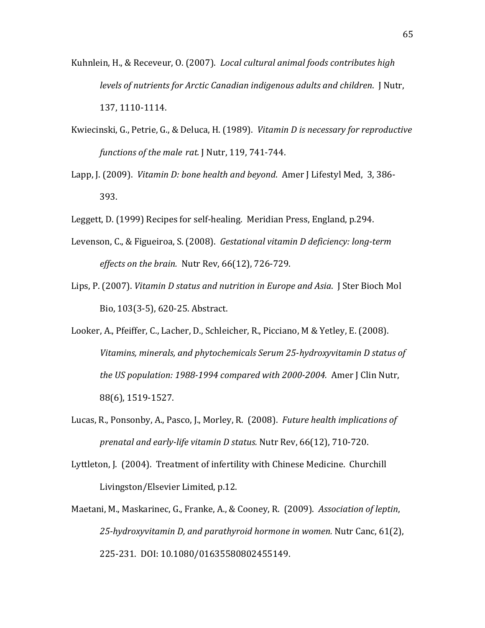- Kuhnlein, H., & Receveur, O. (2007). *Local cultural animal foods contributes high levels of nutrients for Arctic Canadian indigenous adults and children.* I Nutr, 137, 1110-1114.
- Kwiecinski, G., Petrie, G., & Deluca, H. (1989). *Vitamin D is necessary for reproductive functions of the male rat. J Nutr, 119, 741-744.*
- Lapp, J. (2009). *Vitamin D: bone health and beyond*. Amer J Lifestyl Med, 3, 386-393.
- Leggett, D. (1999) Recipes for self-healing. Meridian Press, England, p.294.
- Levenson, C., & Figueiroa, S. (2008). *Gestational vitamin D deficiency: long-term effects on the brain. Nutr Rev, 66(12), 726-729.*
- Lips, P. (2007). *Vitamin D status and nutrition in Europe and Asia.* J Ster Bioch Mol Bio, 103(3-5), 620-25. Abstract.
- Looker, A., Pfeiffer, C., Lacher, D., Schleicher, R., Picciano, M & Yetley, E. (2008). *Vitamins, minerals, and phytochemicals Serum 25-hydroxyvitamin D status of the US population: 1988-1994 compared with 2000-2004. Amer J Clin Nutr,* 88(6), 1519-1527.
- Lucas, R., Ponsonby, A., Pasco, J., Morley, R. (2008). *Future health implications of prenatal and early-life vitamin D status.* Nutr Rev, 66(12), 710-720.
- Lyttleton, J. (2004). Treatment of infertility with Chinese Medicine. Churchill Livingston/Elsevier Limited, p.12.
- Maetani, M., Maskarinec, G., Franke, A., & Cooney, R. (2009). Association of leptin, *25-hydroxyvitamin D, and parathyroid hormone in women.* Nutr Canc, 61(2), 225-231. DOI: 10.1080/01635580802455149.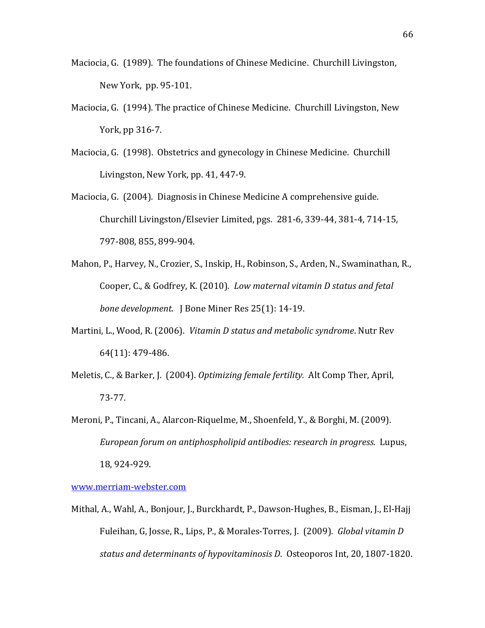- Maciocia, G. (1989). The foundations of Chinese Medicine. Churchill Livingston, New York, pp. 95-101.
- Maciocia, G. (1994). The practice of Chinese Medicine. Churchill Livingston, New York, pp 316-7.
- Maciocia, G. (1998). Obstetrics and gynecology in Chinese Medicine. Churchill Livingston, New York, pp. 41, 447-9.
- Maciocia, G. (2004). Diagnosis in Chinese Medicine A comprehensive guide. Churchill Livingston/Elsevier Limited, pgs. 281-6, 339-44, 381-4, 714-15, 797-808, 855, 899-904.
- Mahon, P., Harvey, N., Crozier, S., Inskip, H., Robinson, S., Arden, N., Swaminathan, R., Cooper, C., & Godfrey, K. (2010). *Low maternal vitamin D status and fetal bone development.* | Bone Miner Res 25(1): 14-19.
- Martini, L., Wood, R. (2006). *Vitamin D status and metabolic syndrome*. Nutr Rev 64(11): 479-486.
- Meletis, C., & Barker, J. (2004). *Optimizing female fertility.* Alt Comp Ther, April, 73-77.
- Meroni, P., Tincani, A., Alarcon-Riquelme, M., Shoenfeld, Y., & Borghi, M. (2009). *European forum on antiphospholipid antibodies: research in progress. Lupus,* 18, 924-929.

www.merriam-webster.com

Mithal, A., Wahl, A., Bonjour, J., Burckhardt, P., Dawson-Hughes, B., Eisman, J., El-Hajj Fuleihan, G, Josse, R., Lips, P., & Morales-Torres, J. (2009). *Global vitamin D status and determinants of hypovitaminosis D. Osteoporos Int, 20, 1807-1820.*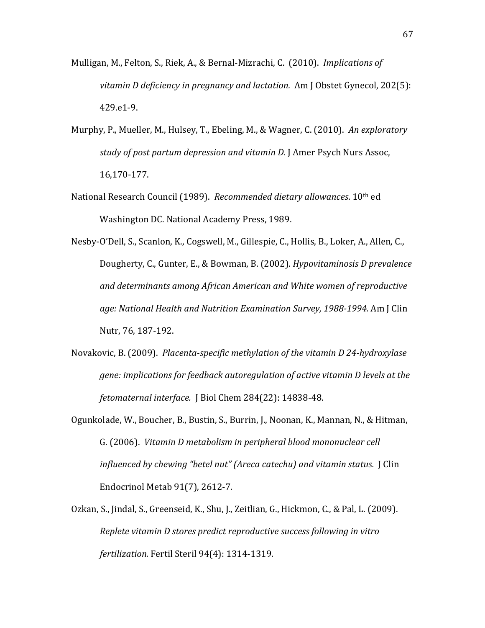- Mulligan, M., Felton, S., Riek, A., & Bernal-Mizrachi, C. (2010). *Implications of vitamin D deficiency in pregnancy and lactation. Am J Obstet Gynecol, 202(5):* 429.e1-9.
- Murphy, P., Mueller, M., Hulsey, T., Ebeling, M., & Wagner, C. (2010). *An exploratory study of post partum depression and vitamin D. J Amer Psych Nurs Assoc,* 16,170-177.
- National Research Council (1989). *Recommended dietary allowances*. 10<sup>th</sup> ed Washington DC. National Academy Press, 1989.
- Nesby-O'Dell, S., Scanlon, K., Cogswell, M., Gillespie, C., Hollis, B., Loker, A., Allen, C., Dougherty, C., Gunter, E., & Bowman, B. (2002). *Hypovitaminosis D prevalence and#determinants among#African#American#and#White#women#of#reproductive#* age: National Health and Nutrition Examination Survey, 1988-1994. Am J Clin Nutr, 76, 187-192.
- Novakovic, B. (2009). *Placenta-specific methylation of the vitamin D 24-hydroxylase gene: implications for feedback autoregulation of active vitamin D levels at the fetomaternal interface. J Biol Chem 284(22): 14838-48.*
- Ogunkolade, W., Boucher, B., Bustin, S., Burrin, J., Noonan, K., Mannan, N., & Hitman, G. (2006). *Vitamin D metabolism in peripheral blood mononuclear cell influenced by chewing "betel nut" (Areca catechu) and vitamin status.* J Clin Endocrinol Metab 91(7), 2612-7.
- Ozkan, S., Jindal, S., Greenseid, K., Shu, J., Zeitlian, G., Hickmon, C., & Pal, L. (2009). *Replete vitamin D stores predict reproductive success following in vitro fertilization. Fertil Steril 94(4): 1314-1319.*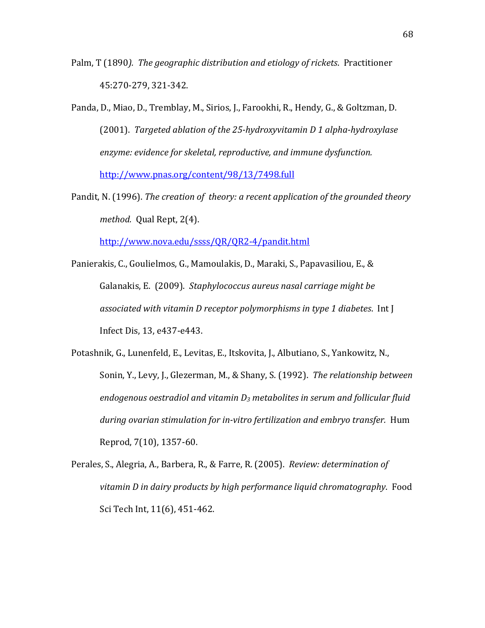- Palm, T (1890). The geographic distribution and etiology of rickets. Practitioner 45:270-279, 321-342.
- Panda, D., Miao, D., Tremblay, M., Sirios, J., Farookhi, R., Hendy, G., & Goltzman, D. (2001). Targeted ablation of the 25-hydroxyvitamin D 1 alpha-hydroxylase enzyme: evidence for skeletal, reproductive, and immune dysfunction. http://www.pnas.org/content/98/13/7498.full
- Pandit, N. (1996). *The creation of theory: a recent application of the grounded theory method.* Qual Rept, 2(4).

http://www.nova.edu/ssss/QR/QR2-4/pandit.html

- Panierakis, C., Goulielmos, G., Mamoulakis, D., Maraki, S., Papavasiliou, E., & Galanakis, E. (2009). Staphylococcus aureus nasal carriage might be *associated with vitamin D receptor polymorphisms in type 1 diabetes. Int J* Infect Dis, 13, e437-e443.
- Potashnik, G., Lunenfeld, E., Levitas, E., Itskovita, J., Albutiano, S., Yankowitz, N., Sonin, Y., Levy, J., Glezerman, M., & Shany, S. (1992). *The relationship between* endogenous oestradiol and vitamin D<sub>3</sub> metabolites in serum and follicular fluid during ovarian stimulation for in-vitro fertilization and embryo transfer. Hum Reprod, 7(10), 1357-60.
- Perales, S., Alegria, A., Barbera, R., & Farre, R. (2005). *Review: determination of* vitamin D in dairy products by high performance liquid chromatography. Food Sci Tech Int, 11(6), 451-462.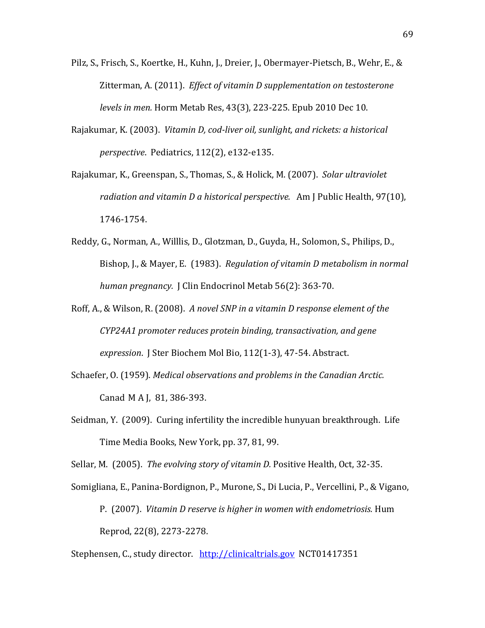- Pilz, S., Frisch, S., Koertke, H., Kuhn, J., Dreier, J., Obermayer-Pietsch, B., Wehr, E., & Zitterman, A. (2011). *Effect of vitamin D supplementation on testosterone levels in men.* Horm Metab Res, 43(3), 223-225. Epub 2010 Dec 10.
- Rajakumar, K. (2003). *Vitamin D, cod-liver oil, sunlight, and rickets: a historical perspective.* Pediatrics, 112(2), e132-e135.
- Rajakumar, K., Greenspan, S., Thomas, S., & Holick, M. (2007). *Solar ultraviolet radiation and vitamin D a historical perspective.* Am J Public Health, 97(10), 1746-1754.
- Reddy, G., Norman, A., Willlis, D., Glotzman, D., Guyda, H., Solomon, S., Philips, D., Bishop, J., & Mayer, E. (1983). *Regulation of vitamin D metabolism in normal human pregnancy.* J Clin Endocrinol Metab 56(2): 363-70.
- Roff, A., & Wilson, R. (2008). *A novel SNP in a vitamin D response element of the CYP24A1 promoter reduces protein binding, transactivation, and gene expression*. J Ster Biochem Mol Bio, 112(1-3), 47-54. Abstract.
- Schaefer, O. (1959). *Medical observations and problems in the Canadian Arctic.* Canad M A J, 81, 386-393.
- Seidman, Y. (2009). Curing infertility the incredible hunyuan breakthrough. Life Time Media Books, New York, pp. 37, 81, 99.

Sellar, M. (2005). *The evolving story of vitamin D. Positive Health, Oct, 32-35.* 

Somigliana, E., Panina-Bordignon, P., Murone, S., Di Lucia, P., Vercellini, P., & Vigano, P. (2007). *Vitamin D reserve is higher in women with endometriosis.* Hum Reprod, 22(8), 2273-2278.

Stephensen, C., study director. http://clinicaltrials.gov NCT01417351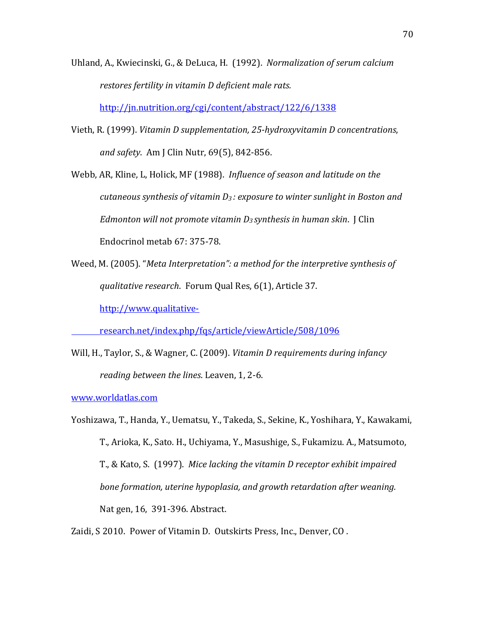Uhland, A., Kwiecinski, G., & DeLuca, H. (1992). Normalization of serum calcium restores fertility in vitamin D deficient male rats.

http://jn.nutrition.org/cgi/content/abstract/122/6/1338

Vieth, R. (1999). *Vitamin D supplementation, 25-hydroxyvitamin D concentrations,* and safety. Am J Clin Nutr, 69(5), 842-856.

Webb, AR, Kline, L, Holick, MF (1988). *Influence of season and latitude on the cutaneous synthesis of vitamin D<sub>3</sub>: exposure to winter sunlight in Boston and Edmonton will not promote vitamin D<sub>3</sub> synthesis in human skin.* I Clin Endocrinol metab 67: 375-78.

Weed, M. (2005). "*Meta Interpretation": a method for the interpretive synthesis of qualitative research.* Forum Qual Res, 6(1), Article 37.

http://www.qualitative-

research.net/index.php/fqs/article/viewArticle/508/1096

Will, H., Taylor, S., & Wagner, C. (2009). *Vitamin D requirements during infancy reading between the lines. Leaven, 1, 2-6.* 

www.worldatlas.com

Yoshizawa, T., Handa, Y., Uematsu, Y., Takeda, S., Sekine, K., Yoshihara, Y., Kawakami, T., Arioka, K., Sato. H., Uchiyama, Y., Masushige, S., Fukamizu. A., Matsumoto, T., & Kato, S. (1997). *Mice lacking the vitamin D receptor exhibit impaired* bone formation, uterine hypoplasia, and growth retardation after weaning. Nat gen, 16, 391-396. Abstract.

Zaidi, S 2010. Power of Vitamin D. Outskirts Press, Inc., Denver, CO.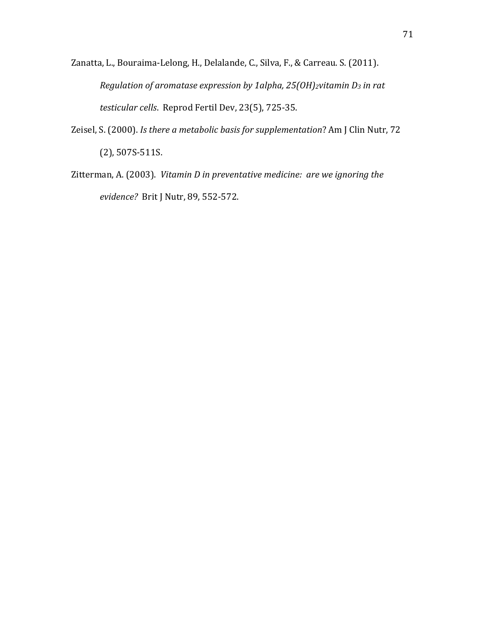- Zanatta, L., Bouraima-Lelong, H., Delalande, C., Silva, F., & Carreau. S. (2011). *Regulation of aromatase expression by 1alpha, 25(OH)<sub>2</sub>vitamin D<sub>3</sub> in rat testicular cells.* Reprod Fertil Dev, 23(5), 725-35.
- Zeisel, S. (2000). *Is there a metabolic basis for supplementation*? Am J Clin Nutr, 72  $(2)$ , 507S-511S.
- Zitterman, A. (2003). *Vitamin D in preventative medicine: are we ignoring the evidence?* Brit J Nutr, 89, 552-572.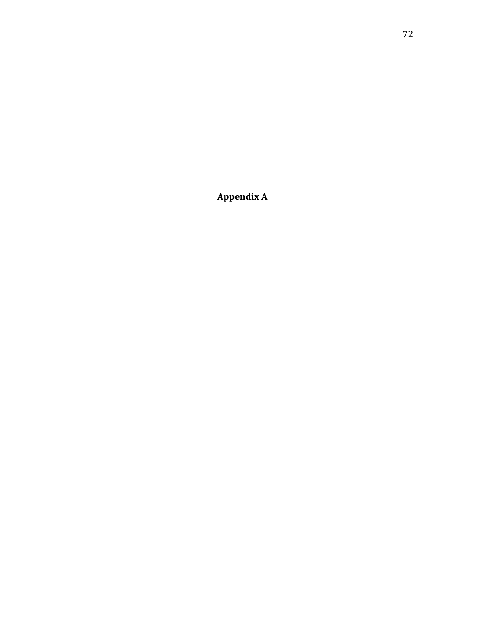**Appendix(A**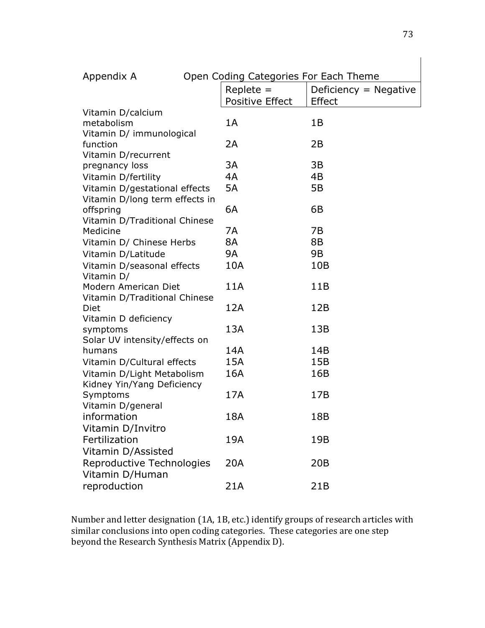| Appendix A                     | Open Coding Categories For Each Theme |                         |
|--------------------------------|---------------------------------------|-------------------------|
|                                | $Replace =$                           | Deficiency $=$ Negative |
|                                | <b>Positive Effect</b>                | <b>Effect</b>           |
| Vitamin D/calcium              |                                       |                         |
| metabolism                     | 1A                                    | 1B                      |
| Vitamin D/ immunological       |                                       |                         |
| function                       | 2A                                    | 2B                      |
| Vitamin D/recurrent            |                                       |                         |
| pregnancy loss                 | 3A                                    | 3B                      |
| Vitamin D/fertility            | 4A                                    | 4B                      |
| Vitamin D/gestational effects  | 5A                                    | 5B                      |
| Vitamin D/long term effects in |                                       |                         |
| offspring                      | 6A                                    | 6B                      |
| Vitamin D/Traditional Chinese  |                                       |                         |
| Medicine                       | 7A                                    | 7B                      |
| Vitamin D/ Chinese Herbs       | 8A                                    | 8B                      |
| Vitamin D/Latitude             | 9A                                    | 9B                      |
| Vitamin D/seasonal effects     | 10A                                   | 10B                     |
| Vitamin D/                     |                                       |                         |
| Modern American Diet           | 11A                                   | 11B                     |
| Vitamin D/Traditional Chinese  |                                       |                         |
| Diet                           | 12A                                   | 12B                     |
| Vitamin D deficiency           |                                       |                         |
| symptoms                       | 13A                                   | 13B                     |
| Solar UV intensity/effects on  |                                       |                         |
| humans                         | 14A                                   | 14B                     |
| Vitamin D/Cultural effects     | 15A                                   | 15B                     |
| Vitamin D/Light Metabolism     | 16A                                   | 16B                     |
| Kidney Yin/Yang Deficiency     |                                       |                         |
| Symptoms                       | 17A                                   | 17B                     |
| Vitamin D/general              |                                       |                         |
| information                    | 18A                                   | 18B                     |
| Vitamin D/Invitro              |                                       |                         |
| Fertilization                  | 19A                                   | 19B                     |
| Vitamin D/Assisted             |                                       |                         |
| Reproductive Technologies      | 20A                                   | 20B                     |
| Vitamin D/Human                |                                       |                         |
| reproduction                   | 21A                                   | 21B                     |

Number and letter designation (1A, 1B, etc.) identify groups of research articles with similar conclusions into open coding categories. These categories are one step beyond the Research Synthesis Matrix (Appendix D).

 $\overline{\phantom{a}}$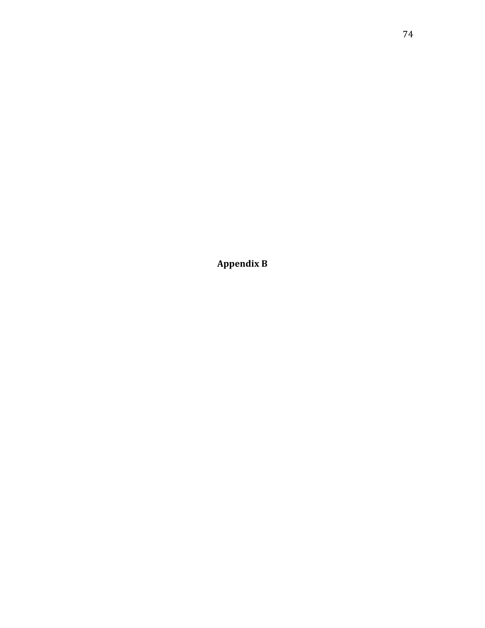Appendix B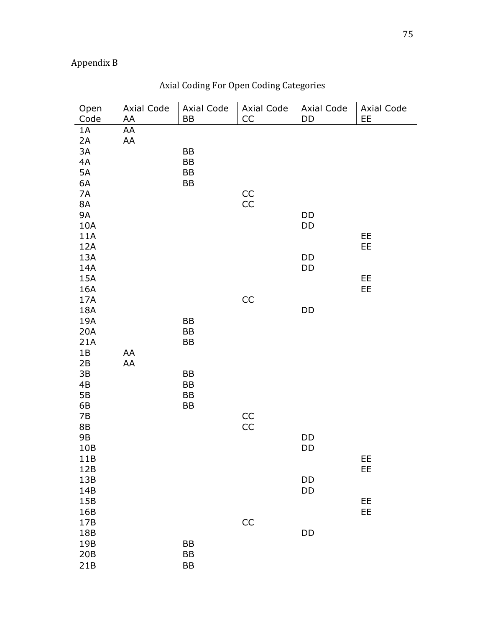# Appendix!B

| Open<br>Code                              | Axial Code<br>AA | Axial Code<br>BB      | Axial Code<br>CC               | Axial Code<br>DD | Axial Code<br>EE |
|-------------------------------------------|------------------|-----------------------|--------------------------------|------------------|------------------|
| 1A<br>2A<br>3A<br>4A<br>5A<br>6A          | AA<br>AA         | BB<br>BB<br>BB<br>BB  |                                |                  |                  |
| 7A<br>8A<br><b>9A</b><br>10A<br>11A       |                  |                       | $\mathsf{CC}$<br>$\mathsf{CC}$ | DD<br>DD         | EE               |
| 12A<br>13A<br>14A<br>15A<br>16A<br>17A    |                  |                       | CC                             | DD<br>DD         | EE<br>EE<br>EE   |
| 18A<br>19A<br>20A<br>21A<br>1B<br>2B      | AA<br>AA         | BB<br>BB<br>BB        |                                | DD               |                  |
| 3B<br>4B<br>$5B$<br>6B<br>7B<br><b>8B</b> |                  | BB<br>BB<br>BB<br>BB  | $\mathsf{CC}$<br>CC            |                  |                  |
| 9B<br>10B<br>11B<br>12B                   |                  |                       |                                | DD<br>DD         | EE<br>EE         |
| 13B<br>14B<br>15B<br>16B<br>17B           |                  |                       | CC                             | DD<br>DD         | EE<br>EE         |
| 18B<br>19B<br>20B<br>21B                  |                  | BB<br>BB<br><b>BB</b> |                                | DD               |                  |

# Axial Coding For Open Coding Categories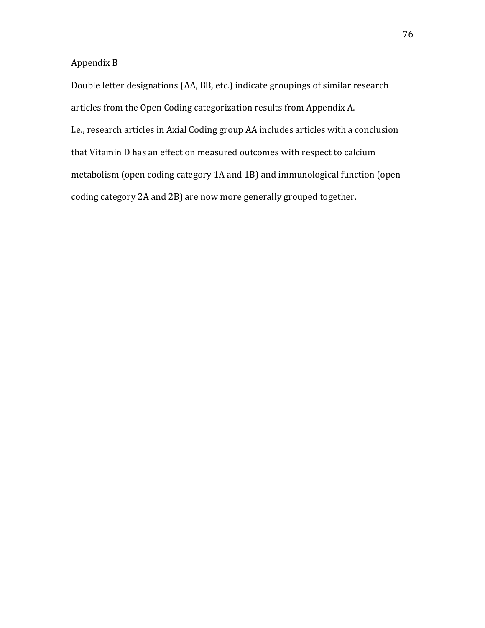#### Appendix!B

Double letter designations (AA, BB, etc.) indicate groupings of similar research articles from the Open Coding categorization results from Appendix A. I.e., research articles in Axial Coding group AA includes articles with a conclusion that Vitamin D has an effect on measured outcomes with respect to calcium metabolism (open coding category 1A and 1B) and immunological function (open coding category 2A and 2B) are now more generally grouped together.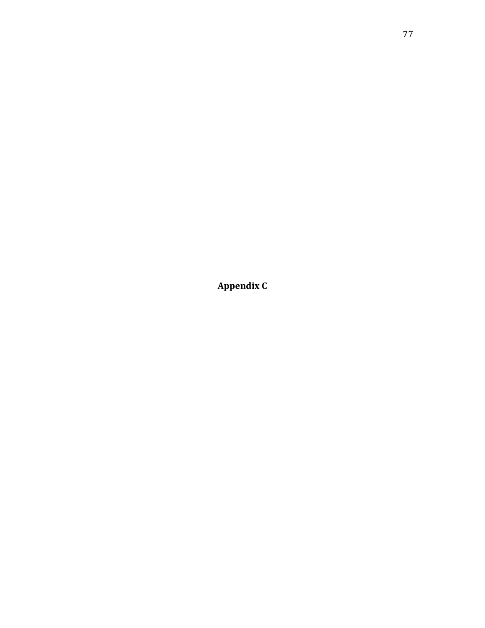Appendix C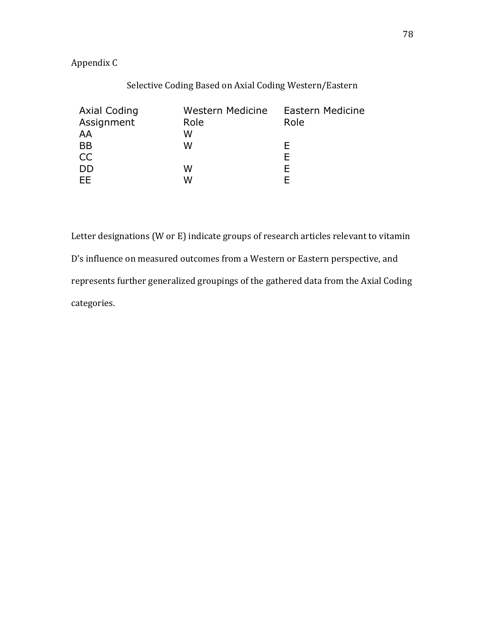### Appendix!C

| $\alpha$ of $\alpha$ and $\alpha$ and $\alpha$ is the set of $\alpha$ and $\alpha$ is the set of $\alpha$ and $\alpha$ is the set of $\alpha$ |                  |                  |  |  |  |  |  |  |
|-----------------------------------------------------------------------------------------------------------------------------------------------|------------------|------------------|--|--|--|--|--|--|
| <b>Axial Coding</b>                                                                                                                           | Western Medicine | Eastern Medicine |  |  |  |  |  |  |
| Assignment                                                                                                                                    | Role             | Role             |  |  |  |  |  |  |
| AA                                                                                                                                            | W                |                  |  |  |  |  |  |  |
| <b>BB</b>                                                                                                                                     | W                | F                |  |  |  |  |  |  |
| CC                                                                                                                                            |                  | Е                |  |  |  |  |  |  |
| <b>DD</b>                                                                                                                                     | W                | F.               |  |  |  |  |  |  |
| <b>EE</b>                                                                                                                                     | W                | F                |  |  |  |  |  |  |

Letter designations (W or E) indicate groups of research articles relevant to vitamin D's influence on measured outcomes from a Western or Eastern perspective, and represents further generalized groupings of the gathered data from the Axial Coding categories.

#### Selective Coding Based on Axial Coding Western/Eastern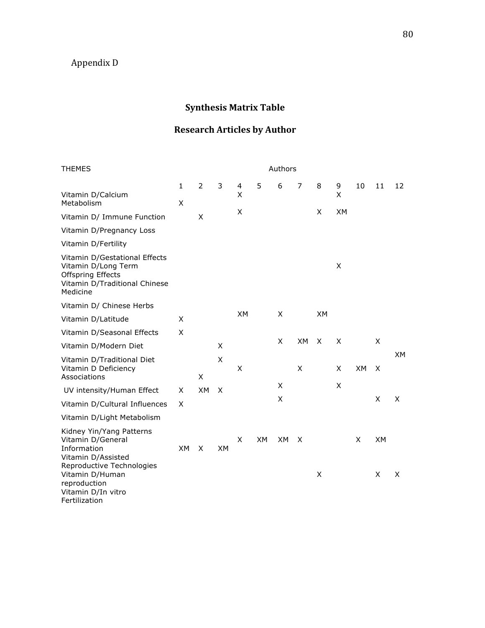## Appendix!D

## **Synthesis Matrix Table**

## **Research Articles by Author**

| <b>THEMES</b>                                                                                                                 | Authors           |           |           |           |           |           |                |           |           |           |           |           |
|-------------------------------------------------------------------------------------------------------------------------------|-------------------|-----------|-----------|-----------|-----------|-----------|----------------|-----------|-----------|-----------|-----------|-----------|
| Vitamin D/Calcium<br>Metabolism                                                                                               | $\mathbf{1}$<br>X | 2         | 3         | 4<br>X    | 5         | 6         | $\overline{7}$ | 8         | 9<br>X    | 10        | 11        | 12        |
| Vitamin D/ Immune Function                                                                                                    |                   | X         |           | X         |           |           |                | X         | <b>XM</b> |           |           |           |
| Vitamin D/Pregnancy Loss                                                                                                      |                   |           |           |           |           |           |                |           |           |           |           |           |
| Vitamin D/Fertility                                                                                                           |                   |           |           |           |           |           |                |           |           |           |           |           |
| Vitamin D/Gestational Effects<br>Vitamin D/Long Term<br><b>Offspring Effects</b><br>Vitamin D/Traditional Chinese<br>Medicine |                   |           |           |           |           |           |                |           | X         |           |           |           |
| Vitamin D/ Chinese Herbs                                                                                                      |                   |           |           |           |           |           |                |           |           |           |           |           |
| Vitamin D/Latitude                                                                                                            | X                 |           |           | <b>XM</b> |           | X         |                | <b>XM</b> |           |           |           |           |
| Vitamin D/Seasonal Effects                                                                                                    | X                 |           |           |           |           |           |                |           |           |           |           |           |
| Vitamin D/Modern Diet                                                                                                         |                   |           | X         |           |           | X         | <b>XM</b>      | X         | X         |           | X         |           |
| Vitamin D/Traditional Diet<br>Vitamin D Deficiency<br>Associations                                                            |                   | X         | X         | X         |           |           | X              |           | X         | <b>XM</b> | X         | <b>XM</b> |
| UV intensity/Human Effect                                                                                                     | X                 | <b>XM</b> | X         |           |           | X         |                |           | X         |           |           |           |
| Vitamin D/Cultural Influences                                                                                                 | X                 |           |           |           |           | X         |                |           |           |           | X         | X         |
| Vitamin D/Light Metabolism                                                                                                    |                   |           |           |           |           |           |                |           |           |           |           |           |
| Kidney Yin/Yang Patterns<br>Vitamin D/General<br>Information<br>Vitamin D/Assisted<br>Reproductive Technologies               | <b>XM</b>         | X         | <b>XM</b> | X         | <b>XM</b> | <b>XM</b> | $\times$       |           |           | X         | <b>XM</b> |           |
| Vitamin D/Human<br>reproduction<br>Vitamin D/In vitro<br>Fertilization                                                        |                   |           |           |           |           |           |                | X         |           |           | X         | X         |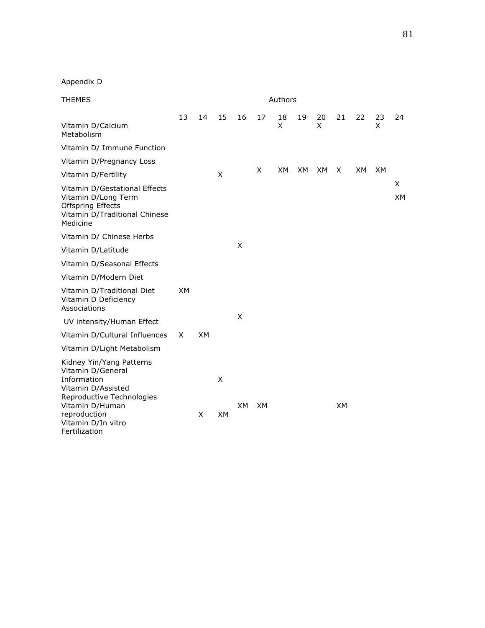| <b>THEMES</b>                                                                                                                      | Authors   |    |           |           |           |         |    |         |           |     |           |           |
|------------------------------------------------------------------------------------------------------------------------------------|-----------|----|-----------|-----------|-----------|---------|----|---------|-----------|-----|-----------|-----------|
| Vitamin D/Calcium<br>Metabolism                                                                                                    | 13        | 14 | 15        | 16        | 17        | 18<br>X | 19 | 20<br>X | 21        | 22  | 23<br>X   | 24        |
| Vitamin D/ Immune Function                                                                                                         |           |    |           |           |           |         |    |         |           |     |           |           |
| Vitamin D/Pregnancy Loss                                                                                                           |           |    |           |           |           |         |    |         |           |     |           |           |
| Vitamin D/Fertility                                                                                                                |           |    | X         |           | X         | XM.     | XM | XM.     | X         | XM. | <b>XM</b> |           |
| Vitamin D/Gestational Effects<br>Vitamin D/Long Term<br><b>Offspring Effects</b><br>Vitamin D/Traditional Chinese<br>Medicine      |           |    |           |           |           |         |    |         |           |     |           | X.<br>XM. |
| Vitamin D/ Chinese Herbs                                                                                                           |           |    |           |           |           |         |    |         |           |     |           |           |
| Vitamin D/Latitude                                                                                                                 |           |    |           | X         |           |         |    |         |           |     |           |           |
| Vitamin D/Seasonal Effects                                                                                                         |           |    |           |           |           |         |    |         |           |     |           |           |
| Vitamin D/Modern Diet                                                                                                              |           |    |           |           |           |         |    |         |           |     |           |           |
| Vitamin D/Traditional Diet<br>Vitamin D Deficiency<br>Associations                                                                 | <b>XM</b> |    |           |           |           |         |    |         |           |     |           |           |
| UV intensity/Human Effect                                                                                                          |           |    |           | X         |           |         |    |         |           |     |           |           |
| Vitamin D/Cultural Influences                                                                                                      | X         | XМ |           |           |           |         |    |         |           |     |           |           |
| Vitamin D/Light Metabolism                                                                                                         |           |    |           |           |           |         |    |         |           |     |           |           |
| Kidney Yin/Yang Patterns<br>Vitamin D/General<br>Information<br>Vitamin D/Assisted<br>Reproductive Technologies<br>Vitamin D/Human |           |    | X         | <b>XM</b> | <b>XM</b> |         |    |         | <b>XM</b> |     |           |           |
| reproduction<br>Vitamin D/In vitro<br>Fertilization                                                                                |           | X  | <b>XM</b> |           |           |         |    |         |           |     |           |           |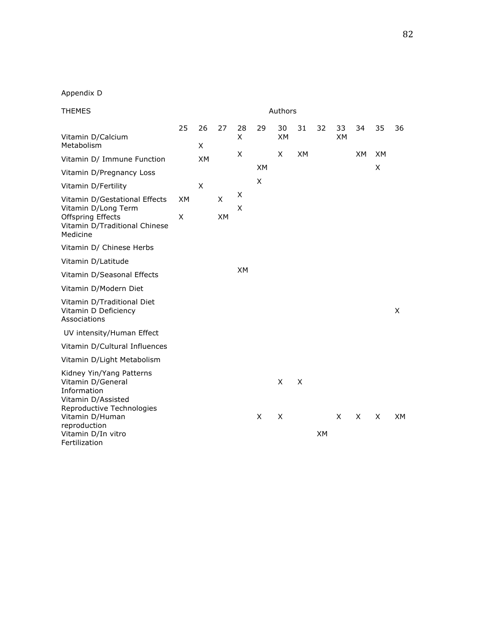| <b>THEMES</b>                                                                                                                      |                |           |                |           |                |                                | Authors   |           |                 |           |                |           |  |
|------------------------------------------------------------------------------------------------------------------------------------|----------------|-----------|----------------|-----------|----------------|--------------------------------|-----------|-----------|-----------------|-----------|----------------|-----------|--|
| Vitamin D/Calcium<br>Metabolism                                                                                                    | 25             | 26<br>X   | 27             | 28<br>X   | 29             | 30<br><b>XM</b>                | 31        | 32        | 33<br><b>XM</b> | 34        | 35             | 36        |  |
| Vitamin D/ Immune Function                                                                                                         |                | <b>XM</b> |                | X         | <b>XM</b>      | X                              | <b>XM</b> |           |                 | <b>XM</b> | <b>XM</b><br>X |           |  |
| Vitamin D/Pregnancy Loss                                                                                                           |                |           |                |           | X              |                                |           |           |                 |           |                |           |  |
| Vitamin D/Fertility                                                                                                                |                | X         |                | Χ         |                |                                |           |           |                 |           |                |           |  |
| Vitamin D/Gestational Effects<br>Vitamin D/Long Term<br><b>Offspring Effects</b><br>Vitamin D/Traditional Chinese<br>Medicine      | <b>XM</b><br>X |           | X<br><b>XM</b> | X         |                |                                |           |           |                 |           |                |           |  |
| Vitamin D/ Chinese Herbs                                                                                                           |                |           |                |           |                |                                |           |           |                 |           |                |           |  |
| Vitamin D/Latitude                                                                                                                 |                |           |                |           |                |                                |           |           |                 |           |                |           |  |
| Vitamin D/Seasonal Effects                                                                                                         |                |           |                | <b>XM</b> |                |                                |           |           |                 |           |                |           |  |
| Vitamin D/Modern Diet                                                                                                              |                |           |                |           |                |                                |           |           |                 |           |                |           |  |
| Vitamin D/Traditional Diet<br>Vitamin D Deficiency<br>Associations                                                                 |                |           |                |           |                |                                |           |           |                 |           |                | X         |  |
| UV intensity/Human Effect                                                                                                          |                |           |                |           |                |                                |           |           |                 |           |                |           |  |
| Vitamin D/Cultural Influences                                                                                                      |                |           |                |           |                |                                |           |           |                 |           |                |           |  |
| Vitamin D/Light Metabolism                                                                                                         |                |           |                |           |                |                                |           |           |                 |           |                |           |  |
| Kidney Yin/Yang Patterns<br>Vitamin D/General<br>Information<br>Vitamin D/Assisted<br>Reproductive Technologies<br>Vitamin D/Human |                |           |                |           | $\pmb{\times}$ | X<br>$\boldsymbol{\mathsf{X}}$ | X         |           | X               | X         | X              | <b>XM</b> |  |
| reproduction<br>Vitamin D/In vitro<br>Fertilization                                                                                |                |           |                |           |                |                                |           | <b>XM</b> |                 |           |                |           |  |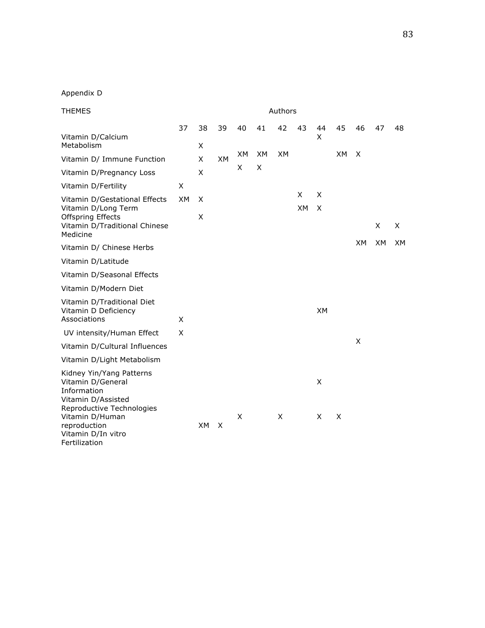| <b>THEMES</b>                                                                                                   |    |     |           |     |     |           |           | Authors   |           |           |           |     |  |  |
|-----------------------------------------------------------------------------------------------------------------|----|-----|-----------|-----|-----|-----------|-----------|-----------|-----------|-----------|-----------|-----|--|--|
|                                                                                                                 | 37 | 38  | 39        | 40  | 41  | 42        | 43        | 44        | 45        | 46        | 47        | 48  |  |  |
| Vitamin D/Calcium<br>Metabolism                                                                                 |    | X   |           |     |     |           |           | X         |           |           |           |     |  |  |
| Vitamin D/ Immune Function                                                                                      |    | X   | <b>XM</b> | XM. | XM. | <b>XM</b> |           |           | <b>XM</b> | X         |           |     |  |  |
| Vitamin D/Pregnancy Loss                                                                                        |    | X   |           | X   | X   |           |           |           |           |           |           |     |  |  |
| Vitamin D/Fertility                                                                                             | Χ  |     |           |     |     |           |           |           |           |           |           |     |  |  |
| Vitamin D/Gestational Effects                                                                                   | XM | X   |           |     |     |           | X         | X         |           |           |           |     |  |  |
| Vitamin D/Long Term<br><b>Offspring Effects</b><br>Vitamin D/Traditional Chinese<br>Medicine                    |    | X   |           |     |     |           | <b>XM</b> | X         |           |           | X         | X   |  |  |
| Vitamin D/ Chinese Herbs                                                                                        |    |     |           |     |     |           |           |           |           | <b>XM</b> | <b>XM</b> | XM. |  |  |
| Vitamin D/Latitude                                                                                              |    |     |           |     |     |           |           |           |           |           |           |     |  |  |
| Vitamin D/Seasonal Effects                                                                                      |    |     |           |     |     |           |           |           |           |           |           |     |  |  |
| Vitamin D/Modern Diet                                                                                           |    |     |           |     |     |           |           |           |           |           |           |     |  |  |
| Vitamin D/Traditional Diet<br>Vitamin D Deficiency<br>Associations                                              | X  |     |           |     |     |           |           | <b>XM</b> |           |           |           |     |  |  |
| UV intensity/Human Effect                                                                                       | X  |     |           |     |     |           |           |           |           |           |           |     |  |  |
| Vitamin D/Cultural Influences                                                                                   |    |     |           |     |     |           |           |           |           | X         |           |     |  |  |
| Vitamin D/Light Metabolism                                                                                      |    |     |           |     |     |           |           |           |           |           |           |     |  |  |
| Kidney Yin/Yang Patterns<br>Vitamin D/General<br>Information<br>Vitamin D/Assisted<br>Reproductive Technologies |    |     |           |     |     |           |           | X         |           |           |           |     |  |  |
| Vitamin D/Human<br>reproduction<br>Vitamin D/In vitro<br>Fertilization                                          |    | XM. | X         | X   |     | X         |           | X         | X         |           |           |     |  |  |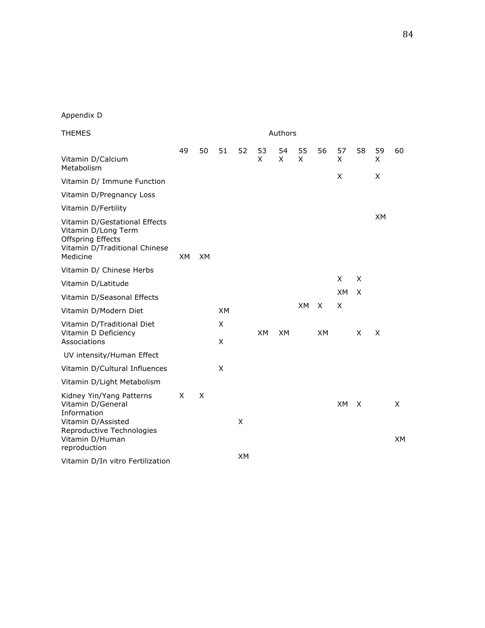| <b>THEMES</b>                                                                                                                      | Authors |           |           |           |           |           |           |           |           |              |           |                |
|------------------------------------------------------------------------------------------------------------------------------------|---------|-----------|-----------|-----------|-----------|-----------|-----------|-----------|-----------|--------------|-----------|----------------|
| Vitamin D/Calcium<br>Metabolism                                                                                                    | 49      | 50        | 51        | 52        | 53<br>X   | 54<br>X   | 55<br>X   | 56        | 57<br>X   | 58           | 59<br>X   | 60             |
| Vitamin D/ Immune Function                                                                                                         |         |           |           |           |           |           |           |           | X         |              | X         |                |
| Vitamin D/Pregnancy Loss                                                                                                           |         |           |           |           |           |           |           |           |           |              |           |                |
| Vitamin D/Fertility                                                                                                                |         |           |           |           |           |           |           |           |           |              |           |                |
| Vitamin D/Gestational Effects<br>Vitamin D/Long Term<br><b>Offspring Effects</b><br>Vitamin D/Traditional Chinese<br>Medicine      | XM.     | <b>XM</b> |           |           |           |           |           |           |           |              | <b>XM</b> |                |
| Vitamin D/ Chinese Herbs                                                                                                           |         |           |           |           |           |           |           |           |           |              |           |                |
| Vitamin D/Latitude                                                                                                                 |         |           |           |           |           |           |           |           | X         | X            |           |                |
| Vitamin D/Seasonal Effects                                                                                                         |         |           |           |           |           |           |           |           | XM        | $\times$     |           |                |
| Vitamin D/Modern Diet                                                                                                              |         |           | <b>XM</b> |           |           |           | <b>XM</b> | X         | X         |              |           |                |
| Vitamin D/Traditional Diet<br>Vitamin D Deficiency<br>Associations                                                                 |         |           | X<br>X    |           | <b>XM</b> | <b>XM</b> |           | <b>XM</b> |           | X            | X         |                |
| UV intensity/Human Effect                                                                                                          |         |           |           |           |           |           |           |           |           |              |           |                |
| Vitamin D/Cultural Influences                                                                                                      |         |           | X         |           |           |           |           |           |           |              |           |                |
| Vitamin D/Light Metabolism                                                                                                         |         |           |           |           |           |           |           |           |           |              |           |                |
| Kidney Yin/Yang Patterns<br>Vitamin D/General<br>Information<br>Vitamin D/Assisted<br>Reproductive Technologies<br>Vitamin D/Human | X       | $\times$  |           | X         |           |           |           |           | <b>XM</b> | $\mathsf{X}$ |           | X<br><b>XM</b> |
| reproduction                                                                                                                       |         |           |           |           |           |           |           |           |           |              |           |                |
| Vitamin D/In vitro Fertilization                                                                                                   |         |           |           | <b>XM</b> |           |           |           |           |           |              |           |                |